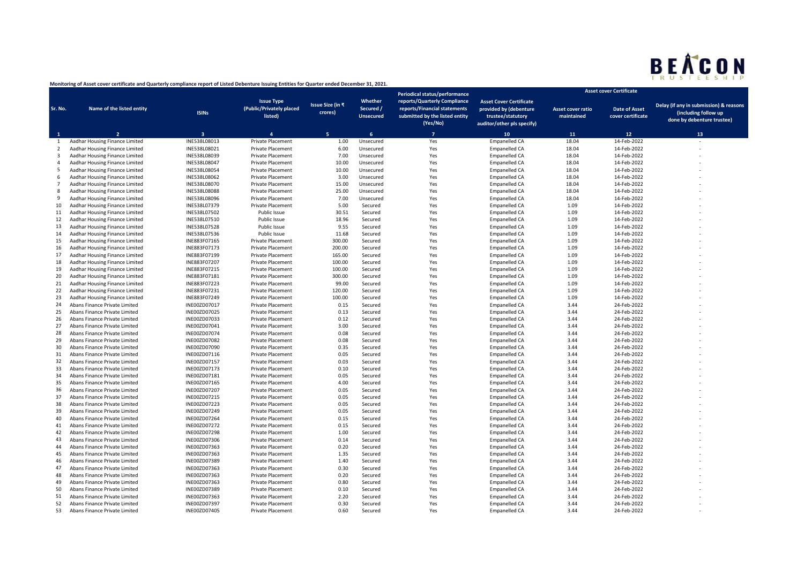

|                |                                                                 |                              |                                                          |                                    |                                          | Periodical status/performance                                                                              |                                                                                                             | <b>Asset cover Certificate</b>         |                                           |                                                                                              |
|----------------|-----------------------------------------------------------------|------------------------------|----------------------------------------------------------|------------------------------------|------------------------------------------|------------------------------------------------------------------------------------------------------------|-------------------------------------------------------------------------------------------------------------|----------------------------------------|-------------------------------------------|----------------------------------------------------------------------------------------------|
| Sr. No.        | Name of the listed entity                                       | <b>ISINs</b>                 | <b>Issue Type</b><br>(Public/Privately placed<br>listed) | <b>Issue Size (in ₹</b><br>crores) | Whether<br>Secured /<br><b>Unsecured</b> | reports/Quarterly Compliance<br>reports/Financial statements<br>submitted by the listed entity<br>(Yes/No) | <b>Asset Cover Certificate</b><br>provided by (debenture<br>trustee/statutory<br>auditor/other pls specify) | <b>Asset cover ratio</b><br>maintained | <b>Date of Asset</b><br>cover certificate | Delay (if any in submission) & reasons<br>(including follow up<br>done by debenture trustee) |
|                | $\overline{2}$                                                  | $\overline{\mathbf{3}}$      | $\mathbf{A}$                                             | <b>K</b>                           | $\epsilon$                               | $\overline{7}$                                                                                             | 10                                                                                                          | 11                                     | $12$                                      | 13                                                                                           |
| 1              | Aadhar Housing Finance Limited                                  | INE538L08013                 | Private Placement                                        | 1.00                               | Unsecured                                | Yes                                                                                                        | <b>Empanelled CA</b>                                                                                        | 18.04                                  | 14-Feb-2022                               |                                                                                              |
| 2              | Aadhar Housing Finance Limited                                  | INE538L08021                 | <b>Private Placement</b>                                 | 6.00                               | Unsecured                                | Yes                                                                                                        | <b>Empanelled CA</b>                                                                                        | 18.04                                  | 14-Feb-2022                               |                                                                                              |
| 3              | Aadhar Housing Finance Limited                                  | INE538L08039                 | <b>Private Placement</b>                                 | 7.00                               | Unsecured                                | Yes                                                                                                        | <b>Empanelled CA</b>                                                                                        | 18.04                                  | 14-Feb-2022                               |                                                                                              |
| 4              | Aadhar Housing Finance Limited                                  | INE538L08047                 | <b>Private Placement</b>                                 | 10.00                              | Unsecured                                | Yes                                                                                                        | <b>Empanelled CA</b>                                                                                        | 18.04                                  | 14-Feb-2022                               |                                                                                              |
| 5              | Aadhar Housing Finance Limited                                  | INE538L08054                 | <b>Private Placement</b>                                 | 10.00                              | Unsecured                                | Yes                                                                                                        | <b>Empanelled CA</b>                                                                                        | 18.04                                  | 14-Feb-2022                               |                                                                                              |
| 6              | Aadhar Housing Finance Limited                                  | INE538L08062                 | <b>Private Placement</b>                                 | 3.00                               | Unsecured                                | Yes                                                                                                        | <b>Empanelled CA</b>                                                                                        | 18.04                                  | 14-Feb-2022                               |                                                                                              |
| $\overline{7}$ | Aadhar Housing Finance Limited                                  | INE538L08070                 | Private Placement                                        | 15.00                              | Unsecured                                | Yes                                                                                                        | <b>Empanelled CA</b>                                                                                        | 18.04                                  | 14-Feb-2022                               |                                                                                              |
| 8              | Aadhar Housing Finance Limited                                  | INE538L08088                 | <b>Private Placement</b>                                 | 25.00                              | Unsecured                                | Yes                                                                                                        | <b>Empanelled CA</b>                                                                                        | 18.04                                  | 14-Feb-2022                               |                                                                                              |
| 9              | Aadhar Housing Finance Limited                                  | INE538L08096                 | <b>Private Placement</b>                                 | 7.00                               | Unsecured                                | Yes                                                                                                        | <b>Empanelled CA</b>                                                                                        | 18.04                                  | 14-Feb-2022                               |                                                                                              |
| 10             | Aadhar Housing Finance Limited                                  | INE538L07379                 | Private Placement                                        | 5.00                               | Secured                                  | Yes                                                                                                        | <b>Empanelled CA</b>                                                                                        | 1.09                                   | 14-Feb-2022                               |                                                                                              |
| 11             | Aadhar Housing Finance Limited                                  | INE538L07502                 | Public Issue                                             | 30.51                              | Secured                                  | Yes                                                                                                        | <b>Empanelled CA</b>                                                                                        | 1.09                                   | 14-Feb-2022                               |                                                                                              |
| 12             | Aadhar Housing Finance Limited                                  | INE538L07510                 | Public Issue                                             | 18.96                              | Secured                                  | Yes                                                                                                        | <b>Empanelled CA</b>                                                                                        | 1.09                                   | 14-Feb-2022                               |                                                                                              |
| 13             | Aadhar Housing Finance Limited                                  | INE538L07528                 | Public Issue                                             | 9.55                               | Secured                                  | Yes                                                                                                        | <b>Empanelled CA</b>                                                                                        | 1.09                                   | 14-Feb-2022                               |                                                                                              |
| 14             | Aadhar Housing Finance Limited                                  | INE538L07536                 | Public Issue                                             | 11.68                              | Secured                                  | Yes                                                                                                        | <b>Empanelled CA</b>                                                                                        | 1.09                                   | 14-Feb-2022                               |                                                                                              |
| 15             | Aadhar Housing Finance Limited                                  | INE883F07165                 | <b>Private Placement</b>                                 | 300.00                             | Secured                                  | Yes                                                                                                        | <b>Empanelled CA</b>                                                                                        | 1.09                                   | 14-Feb-2022                               |                                                                                              |
| 16             | Aadhar Housing Finance Limited                                  | INE883F07173                 | <b>Private Placement</b>                                 | 200.00                             | Secured                                  | Yes                                                                                                        | <b>Empanelled CA</b>                                                                                        | 1.09                                   | 14-Feb-2022                               |                                                                                              |
| 17             | Aadhar Housing Finance Limited                                  | INE883F07199                 | <b>Private Placement</b>                                 | 165.00                             | Secured                                  | Yes                                                                                                        | <b>Empanelled CA</b>                                                                                        | 1.09                                   | 14-Feb-2022                               |                                                                                              |
| 18             | Aadhar Housing Finance Limited                                  | INE883F07207                 | <b>Private Placement</b>                                 | 100.00                             | Secured                                  | Yes                                                                                                        | <b>Empanelled CA</b>                                                                                        | 1.09                                   | 14-Feb-2022                               |                                                                                              |
| 19             | Aadhar Housing Finance Limited                                  | INE883F07215                 | <b>Private Placement</b>                                 | 100.00                             | Secured                                  | Yes                                                                                                        | <b>Empanelled CA</b>                                                                                        | 1.09                                   | 14-Feb-2022                               |                                                                                              |
| 20             | Aadhar Housing Finance Limited                                  | INE883F07181                 | <b>Private Placement</b>                                 | 300.00                             | Secured                                  | Yes                                                                                                        | <b>Empanelled CA</b>                                                                                        | 1.09                                   | 14-Feb-2022                               |                                                                                              |
| 21             | Aadhar Housing Finance Limited                                  | INE883F07223                 | <b>Private Placement</b>                                 | 99.00                              | Secured                                  | Yes                                                                                                        | <b>Empanelled CA</b>                                                                                        | 1.09                                   | 14-Feb-2022                               |                                                                                              |
| 22             | Aadhar Housing Finance Limited                                  | INE883F07231                 | <b>Private Placement</b>                                 | 120.00                             | Secured                                  | Yes                                                                                                        | <b>Empanelled CA</b>                                                                                        | 1.09                                   | 14-Feb-2022                               |                                                                                              |
| 23             | Aadhar Housing Finance Limited<br>Abans Finance Private Limited | INE883F07249<br>INE00ZD07017 | <b>Private Placement</b><br><b>Private Placement</b>     | 100.00<br>0.15                     | Secured                                  | Yes<br>Yes                                                                                                 | <b>Empanelled CA</b>                                                                                        | 1.09<br>3.44                           | 14-Feb-2022<br>24-Feb-2022                |                                                                                              |
| 24             |                                                                 |                              |                                                          |                                    | Secured                                  |                                                                                                            | <b>Empanelled CA</b>                                                                                        |                                        |                                           |                                                                                              |
| 25<br>26       | Abans Finance Private Limited<br>Abans Finance Private Limited  | INE00ZD07025<br>INE00ZD07033 | Private Placement<br><b>Private Placement</b>            | 0.13<br>0.12                       | Secured                                  | Yes<br>Yes                                                                                                 | <b>Empanelled CA</b>                                                                                        | 3.44<br>3.44                           | 24-Feb-2022<br>24-Feb-2022                |                                                                                              |
| 27             | Abans Finance Private Limited                                   | INE00ZD07041                 | <b>Private Placement</b>                                 | 3.00                               | Secured<br>Secured                       | Yes                                                                                                        | <b>Empanelled CA</b><br><b>Empanelled CA</b>                                                                | 3.44                                   | 24-Feb-2022                               |                                                                                              |
| 28             | Abans Finance Private Limited                                   | INE00ZD07074                 | <b>Private Placement</b>                                 | 0.08                               | Secured                                  | Yes                                                                                                        | <b>Empanelled CA</b>                                                                                        | 3.44                                   | 24-Feb-2022                               |                                                                                              |
| 29             | Abans Finance Private Limited                                   | INE00ZD07082                 | <b>Private Placement</b>                                 | 0.08                               | Secured                                  | Yes                                                                                                        | <b>Empanelled CA</b>                                                                                        | 3.44                                   | 24-Feb-2022                               |                                                                                              |
| 30             | Abans Finance Private Limited                                   | INE00ZD07090                 | <b>Private Placement</b>                                 | 0.35                               | Secured                                  | Yes                                                                                                        | <b>Empanelled CA</b>                                                                                        | 3.44                                   | 24-Feb-2022                               |                                                                                              |
| 31             | Abans Finance Private Limited                                   | INE00ZD07116                 | <b>Private Placement</b>                                 | 0.05                               | Secured                                  | Yes                                                                                                        | <b>Empanelled CA</b>                                                                                        | 3.44                                   | 24-Feb-2022                               |                                                                                              |
| 32             | Abans Finance Private Limited                                   | INE00ZD07157                 | <b>Private Placement</b>                                 | 0.03                               | Secured                                  | Yes                                                                                                        | <b>Empanelled CA</b>                                                                                        | 3.44                                   | 24-Feb-2022                               |                                                                                              |
| 33             | Abans Finance Private Limited                                   | INE00ZD07173                 | <b>Private Placement</b>                                 | 0.10                               | Secured                                  | Yes                                                                                                        | <b>Empanelled CA</b>                                                                                        | 3.44                                   | 24-Feb-2022                               |                                                                                              |
| 34             | Abans Finance Private Limited                                   | INE00ZD07181                 | <b>Private Placement</b>                                 | 0.05                               | Secured                                  | Yes                                                                                                        | <b>Empanelled CA</b>                                                                                        | 3.44                                   | 24-Feb-2022                               |                                                                                              |
| 35             | Abans Finance Private Limited                                   | INE00ZD07165                 | <b>Private Placement</b>                                 | 4.00                               | Secured                                  | Yes                                                                                                        | <b>Empanelled CA</b>                                                                                        | 3.44                                   | 24-Feb-2022                               |                                                                                              |
| 36             | Abans Finance Private Limited                                   | INE00ZD07207                 | <b>Private Placement</b>                                 | 0.05                               | Secured                                  | Yes                                                                                                        | <b>Empanelled CA</b>                                                                                        | 3.44                                   | 24-Feb-2022                               |                                                                                              |
| 37             | Abans Finance Private Limited                                   | INE00ZD07215                 | <b>Private Placement</b>                                 | 0.05                               | Secured                                  | Yes                                                                                                        | <b>Empanelled CA</b>                                                                                        | 3.44                                   | 24-Feb-2022                               |                                                                                              |
| 38             | Abans Finance Private Limited                                   | INE00ZD07223                 | <b>Private Placement</b>                                 | 0.05                               | Secured                                  | Yes                                                                                                        | <b>Empanelled CA</b>                                                                                        | 3.44                                   | 24-Feb-2022                               |                                                                                              |
| 39             | Abans Finance Private Limited                                   | INE00ZD07249                 | <b>Private Placement</b>                                 | 0.05                               | Secured                                  | Yes                                                                                                        | <b>Empanelled CA</b>                                                                                        | 3.44                                   | 24-Feb-2022                               |                                                                                              |
| 40             | Abans Finance Private Limited                                   | INE00ZD07264                 | <b>Private Placement</b>                                 | 0.15                               | Secured                                  | Yes                                                                                                        | <b>Empanelled CA</b>                                                                                        | 3.44                                   | 24-Feb-2022                               |                                                                                              |
| 41             | Abans Finance Private Limited                                   | INE00ZD07272                 | <b>Private Placement</b>                                 | 0.15                               | Secured                                  | Yes                                                                                                        | <b>Empanelled CA</b>                                                                                        | 3.44                                   | 24-Feb-2022                               |                                                                                              |
| 42             | Abans Finance Private Limited                                   | INE00ZD07298                 | Private Placement                                        | 1.00                               | Secured                                  | Yes                                                                                                        | <b>Empanelled CA</b>                                                                                        | 3.44                                   | 24-Feb-2022                               |                                                                                              |
| 43             | Abans Finance Private Limited                                   | INE00ZD07306                 | <b>Private Placement</b>                                 | 0.14                               | Secured                                  | Yes                                                                                                        | <b>Empanelled CA</b>                                                                                        | 3.44                                   | 24-Feb-2022                               |                                                                                              |
| 44             | Abans Finance Private Limited                                   | INE00ZD07363                 | <b>Private Placement</b>                                 | 0.20                               | Secured                                  | Yes                                                                                                        | <b>Empanelled CA</b>                                                                                        | 3.44                                   | 24-Feb-2022                               |                                                                                              |
| 45             | Abans Finance Private Limited                                   | INE00ZD07363                 | Private Placement                                        | 1.35                               | Secured                                  | Yes                                                                                                        | <b>Empanelled CA</b>                                                                                        | 3.44                                   | 24-Feb-2022                               |                                                                                              |
| 46             | Abans Finance Private Limited                                   | INE00ZD07389                 | Private Placement                                        | 1.40                               | Secured                                  | Yes                                                                                                        | <b>Empanelled CA</b>                                                                                        | 3.44                                   | 24-Feb-2022                               |                                                                                              |
| 47             | Abans Finance Private Limited                                   | INE00ZD07363                 | <b>Private Placement</b>                                 | 0.30                               | Secured                                  | Yes                                                                                                        | <b>Empanelled CA</b>                                                                                        | 3.44                                   | 24-Feb-2022                               |                                                                                              |
| 48             | Abans Finance Private Limited                                   | INE00ZD07363                 | <b>Private Placement</b>                                 | 0.20                               | Secured                                  | Yes                                                                                                        | <b>Empanelled CA</b>                                                                                        | 3.44                                   | 24-Feb-2022                               |                                                                                              |
| 49             | Abans Finance Private Limited                                   | INE00ZD07363                 | <b>Private Placement</b>                                 | 0.80                               | Secured                                  | Yes                                                                                                        | <b>Empanelled CA</b>                                                                                        | 3.44                                   | 24-Feb-2022                               |                                                                                              |
| 50             | Abans Finance Private Limited                                   | INE00ZD07389                 | <b>Private Placement</b>                                 | 0.10                               | Secured                                  | Yes                                                                                                        | <b>Empanelled CA</b>                                                                                        | 3.44                                   | 24-Feb-2022                               |                                                                                              |
| 51             | Abans Finance Private Limited                                   | INE00ZD07363                 | <b>Private Placement</b>                                 | 2.20                               | Secured                                  | Yes                                                                                                        | <b>Empanelled CA</b>                                                                                        | 3.44                                   | 24-Feb-2022                               |                                                                                              |
| 52             | Abans Finance Private Limited                                   | INE00ZD07397                 | <b>Private Placement</b>                                 | 0.30                               | Secured                                  | Yes                                                                                                        | <b>Empanelled CA</b>                                                                                        | 3.44                                   | 24-Feb-2022                               |                                                                                              |
| 53             | Abans Finance Private Limited                                   | INE00ZD07405                 | <b>Private Placement</b>                                 | 0.60                               | Secured                                  | Yes                                                                                                        | <b>Empanelled CA</b>                                                                                        | 3.44                                   | 24-Feb-2022                               |                                                                                              |

## **Monitoring of Asset cover certificate and Quarterly compliance report of Listed Debenture Issuing Entities for Quarter ended December 31, 2021.**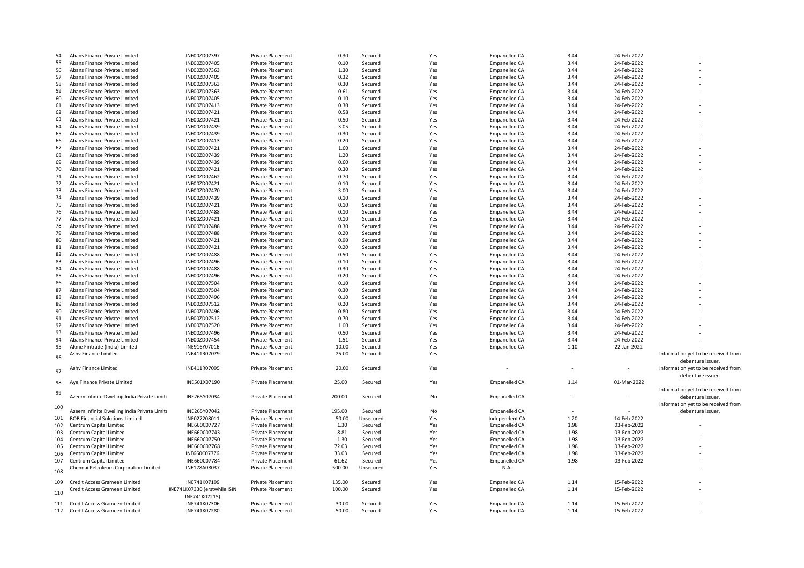| 54  | Abans Finance Private Limited                | INE00ZD07397                 | Private Placement        | 0.30   | Secured   | Yes | <b>Empanelled CA</b> | 3.44 | 24-Feb-2022 |                                     |
|-----|----------------------------------------------|------------------------------|--------------------------|--------|-----------|-----|----------------------|------|-------------|-------------------------------------|
| 55  | Abans Finance Private Limited                | INE00ZD07405                 | <b>Private Placement</b> | 0.10   | Secured   | Yes | <b>Empanelled CA</b> | 3.44 | 24-Feb-2022 |                                     |
| 56  | Abans Finance Private Limited                | INE00ZD07363                 | Private Placement        | 1.30   | Secured   | Yes | <b>Empanelled CA</b> | 3.44 | 24-Feb-2022 |                                     |
| 57  | Abans Finance Private Limited                | INE00ZD07405                 | Private Placement        | 0.32   | Secured   | Yes | <b>Empanelled CA</b> | 3.44 | 24-Feb-2022 |                                     |
| 58  | Abans Finance Private Limited                | INE00ZD07363                 | <b>Private Placement</b> | 0.30   | Secured   | Yes | <b>Empanelled CA</b> | 3.44 | 24-Feb-2022 |                                     |
| 59  | Abans Finance Private Limited                | INE00ZD07363                 | <b>Private Placement</b> | 0.61   | Secured   | Yes | <b>Empanelled CA</b> | 3.44 | 24-Feb-2022 |                                     |
| 60  | Abans Finance Private Limited                | INE00ZD07405                 | Private Placement        | 0.10   | Secured   | Yes | <b>Empanelled CA</b> | 3.44 | 24-Feb-2022 |                                     |
| 61  | Abans Finance Private Limited                | INE00ZD07413                 | <b>Private Placement</b> | 0.30   | Secured   | Yes | <b>Empanelled CA</b> | 3.44 | 24-Feb-2022 |                                     |
|     |                                              | INE00ZD07421                 |                          | 0.58   |           |     | <b>Empanelled CA</b> | 3.44 | 24-Feb-2022 |                                     |
| 62  | Abans Finance Private Limited                |                              | <b>Private Placement</b> | 0.50   | Secured   | Yes |                      |      |             |                                     |
| 63  | Abans Finance Private Limited                | INE00ZD07421                 | Private Placement        |        | Secured   | Yes | <b>Empanelled CA</b> | 3.44 | 24-Feb-2022 |                                     |
| 64  | Abans Finance Private Limited                | INE00ZD07439                 | Private Placement        | 3.05   | Secured   | Yes | <b>Empanelled CA</b> | 3.44 | 24-Feb-2022 |                                     |
| 65  | Abans Finance Private Limited                | INE00ZD07439                 | Private Placement        | 0.30   | Secured   | Yes | <b>Empanelled CA</b> | 3.44 | 24-Feb-2022 |                                     |
| 66  | Abans Finance Private Limited                | INE00ZD07413                 | <b>Private Placement</b> | 0.20   | Secured   | Yes | <b>Empanelled CA</b> | 3.44 | 24-Feb-2022 |                                     |
| 67  | Abans Finance Private Limited                | INE00ZD07421                 | Private Placement        | 1.60   | Secured   | Yes | <b>Empanelled CA</b> | 3.44 | 24-Feb-2022 |                                     |
| 68  | Abans Finance Private Limited                | INE00ZD07439                 | <b>Private Placement</b> | 1.20   | Secured   | Yes | <b>Empanelled CA</b> | 3.44 | 24-Feb-2022 |                                     |
| 69  | Abans Finance Private Limited                | INE00ZD07439                 | <b>Private Placement</b> | 0.60   | Secured   | Yes | <b>Empanelled CA</b> | 3.44 | 24-Feb-2022 |                                     |
| 70  | Abans Finance Private Limited                | INE00ZD07421                 | <b>Private Placement</b> | 0.30   | Secured   | Yes | <b>Empanelled CA</b> | 3.44 | 24-Feb-2022 |                                     |
| 71  | Abans Finance Private Limited                | INE00ZD07462                 | Private Placement        | 0.70   | Secured   | Yes | <b>Empanelled CA</b> | 3.44 | 24-Feb-2022 |                                     |
| 72  | Abans Finance Private Limited                | INE00ZD07421                 | Private Placement        | 0.10   | Secured   | Yes | <b>Empanelled CA</b> | 3.44 | 24-Feb-2022 |                                     |
| 73  | Abans Finance Private Limited                | INE00ZD07470                 | <b>Private Placement</b> | 3.00   | Secured   | Yes | <b>Empanelled CA</b> | 3.44 | 24-Feb-2022 |                                     |
| 74  | Abans Finance Private Limited                | INE00ZD07439                 | Private Placement        | 0.10   | Secured   | Yes | <b>Empanelled CA</b> | 3.44 | 24-Feb-2022 |                                     |
| 75  | Abans Finance Private Limited                | INE00ZD07421                 | <b>Private Placement</b> | 0.10   | Secured   | Yes | <b>Empanelled CA</b> | 3.44 | 24-Feb-2022 |                                     |
| 76  | Abans Finance Private Limited                | INE00ZD07488                 | <b>Private Placement</b> | 0.10   | Secured   | Yes | <b>Empanelled CA</b> | 3.44 | 24-Feb-2022 |                                     |
| 77  | Abans Finance Private Limited                | INE00ZD07421                 | Private Placement        | 0.10   | Secured   | Yes | <b>Empanelled CA</b> | 3.44 | 24-Feb-2022 |                                     |
| 78  | Abans Finance Private Limited                | INE00ZD07488                 | Private Placement        | 0.30   | Secured   | Yes | <b>Empanelled CA</b> | 3.44 | 24-Feb-2022 |                                     |
| 79  | Abans Finance Private Limited                | INE00ZD07488                 | Private Placement        | 0.20   | Secured   | Yes | <b>Empanelled CA</b> | 3.44 | 24-Feb-2022 |                                     |
| 80  | Abans Finance Private Limited                | INE00ZD07421                 | <b>Private Placement</b> | 0.90   | Secured   | Yes | <b>Empanelled CA</b> | 3.44 | 24-Feb-2022 |                                     |
| 81  |                                              |                              |                          | 0.20   |           |     |                      | 3.44 | 24-Feb-2022 |                                     |
|     | Abans Finance Private Limited                | INE00ZD07421                 | Private Placement        |        | Secured   | Yes | <b>Empanelled CA</b> | 3.44 |             |                                     |
| 82  | Abans Finance Private Limited                | INE00ZD07488                 | <b>Private Placement</b> | 0.50   | Secured   | Yes | <b>Empanelled CA</b> |      | 24-Feb-2022 |                                     |
| 83  | Abans Finance Private Limited                | INE00ZD07496                 | <b>Private Placement</b> | 0.10   | Secured   | Yes | <b>Empanelled CA</b> | 3.44 | 24-Feb-2022 |                                     |
| 84  | Abans Finance Private Limited                | INE00ZD07488                 | Private Placement        | 0.30   | Secured   | Yes | <b>Empanelled CA</b> | 3.44 | 24-Feb-2022 |                                     |
| 85  | Abans Finance Private Limited                | INE00ZD07496                 | <b>Private Placement</b> | 0.20   | Secured   | Yes | <b>Empanelled CA</b> | 3.44 | 24-Feb-2022 |                                     |
| 86  | Abans Finance Private Limited                | INE00ZD07504                 | <b>Private Placement</b> | 0.10   | Secured   | Yes | <b>Empanelled CA</b> | 3.44 | 24-Feb-2022 |                                     |
| 87  | Abans Finance Private Limited                | INE00ZD07504                 | Private Placement        | 0.30   | Secured   | Yes | <b>Empanelled CA</b> | 3.44 | 24-Feb-2022 |                                     |
| 88  | Abans Finance Private Limited                | INE00ZD07496                 | <b>Private Placement</b> | 0.10   | Secured   | Yes | <b>Empanelled CA</b> | 3.44 | 24-Feb-2022 |                                     |
| 89  | Abans Finance Private Limited                | INE00ZD07512                 | Private Placement        | 0.20   | Secured   | Yes | <b>Empanelled CA</b> | 3.44 | 24-Feb-2022 |                                     |
| 90  | Abans Finance Private Limited                | INE00ZD07496                 | <b>Private Placement</b> | 0.80   | Secured   | Yes | <b>Empanelled CA</b> | 3.44 | 24-Feb-2022 |                                     |
| 91  | Abans Finance Private Limited                | INE00ZD07512                 | Private Placement        | 0.70   | Secured   | Yes | <b>Empanelled CA</b> | 3.44 | 24-Feb-2022 |                                     |
| 92  | Abans Finance Private Limited                | INE00ZD07520                 | <b>Private Placement</b> | 1.00   | Secured   | Yes | <b>Empanelled CA</b> | 3.44 | 24-Feb-2022 |                                     |
| 93  | Abans Finance Private Limited                | INE00ZD07496                 | <b>Private Placement</b> | 0.50   | Secured   | Yes | <b>Empanelled CA</b> | 3.44 | 24-Feb-2022 |                                     |
| 94  | Abans Finance Private Limited                | INE00ZD07454                 | Private Placement        | 1.51   | Secured   | Yes | <b>Empanelled CA</b> | 3.44 | 24-Feb-2022 |                                     |
| 95  | Akme Fintrade (India) Limited                | INE916Y07016                 | <b>Private Placement</b> | 10.00  | Secured   | Yes | <b>Empanelled CA</b> | 1.10 | 22-Jan-2022 |                                     |
|     | Ashv Finance Limited                         | INE411R07079                 | <b>Private Placement</b> | 25.00  | Secured   | Yes |                      |      |             | Information yet to be received from |
| 96  |                                              |                              |                          |        |           |     |                      |      |             | debenture issuer.                   |
|     | Ashv Finance Limited                         | INE411R07095                 | Private Placement        | 20.00  | Secured   | Yes |                      | ٠    |             | Information yet to be received from |
| 97  |                                              |                              |                          |        |           |     |                      |      |             | debenture issuer.                   |
| 98  | Aye Finance Private Limited                  | INE501X07190                 | Private Placement        | 25.00  | Secured   | Yes | <b>Empanelled CA</b> | 1.14 | 01-Mar-2022 |                                     |
|     |                                              |                              |                          |        |           |     |                      |      |             | Information yet to be received from |
| 99  | Azeem Infinite Dwelling India Private Limite | INE265Y07034                 | Private Placement        | 200.00 | Secured   | No  | <b>Empanelled CA</b> |      |             | debenture issuer.                   |
|     |                                              |                              |                          |        |           |     |                      |      |             | Information yet to be received from |
| 100 | Azeem Infinite Dwelling India Private Limite | INE265Y07042                 |                          | 195.00 |           |     |                      |      |             |                                     |
|     |                                              |                              | <b>Private Placement</b> |        | Secured   | No  | <b>Empanelled CA</b> |      |             | debenture issuer.                   |
| 101 | <b>BOB Financial Solutions Limited</b>       | INE027208011                 | Private Placement        | 50.00  | Unsecured | Yes | Independent CA       | 1.20 | 14-Feb-2022 |                                     |
| 102 | Centrum Capital Limited                      | INE660C07727                 | <b>Private Placement</b> | 1.30   | Secured   | Yes | <b>Empanelled CA</b> | 1.98 | 03-Feb-2022 |                                     |
| 103 | Centrum Capital Limited                      | INE660C07743                 | <b>Private Placement</b> | 8.81   | Secured   | Yes | Empanelled CA        | 1.98 | 03-Feb-2022 |                                     |
| 104 | Centrum Capital Limited                      | INE660C07750                 | <b>Private Placement</b> | 1.30   | Secured   | Yes | <b>Empanelled CA</b> | 1.98 | 03-Feb-2022 |                                     |
| 105 | Centrum Capital Limited                      | INE660C07768                 | Private Placement        | 72.03  | Secured   | Yes | <b>Empanelled CA</b> | 1.98 | 03-Feb-2022 |                                     |
| 106 | Centrum Capital Limited                      | INE660C07776                 | Private Placement        | 33.03  | Secured   | Yes | <b>Empanelled CA</b> | 1.98 | 03-Feb-2022 |                                     |
| 107 | Centrum Capital Limited                      | INE660C07784                 | <b>Private Placement</b> | 61.62  | Secured   | Yes | <b>Empanelled CA</b> | 1.98 | 03-Feb-2022 |                                     |
| 108 | Chennai Petroleum Corporation Limited        | INE178A08037                 | <b>Private Placement</b> | 500.00 | Unsecured | Yes | N.A.                 | ٠    |             |                                     |
|     |                                              |                              |                          |        |           |     |                      |      |             |                                     |
| 109 | Credit Access Grameen Limited                | INE741K07199                 | Private Placement        | 135.00 | Secured   | Yes | <b>Empanelled CA</b> | 1.14 | 15-Feb-2022 |                                     |
|     | Credit Access Grameen Limited                | INE741K07330 (erstwhile ISIN | <b>Private Placement</b> | 100.00 | Secured   | Yes | <b>Empanelled CA</b> | 1.14 | 15-Feb-2022 |                                     |
| 110 |                                              | INE741K07215)                |                          |        |           |     |                      |      |             |                                     |
| 111 | Credit Access Grameen Limited                | INE741K07306                 | <b>Private Placement</b> | 30.00  | Secured   | Yes | <b>Empanelled CA</b> | 1.14 | 15-Feb-2022 |                                     |
|     | 112 Credit Access Grameen Limited            | INE741K07280                 | <b>Private Placement</b> | 50.00  | Secured   | Yes | <b>Empanelled CA</b> | 1.14 | 15-Feb-2022 |                                     |
|     |                                              |                              |                          |        |           |     |                      |      |             |                                     |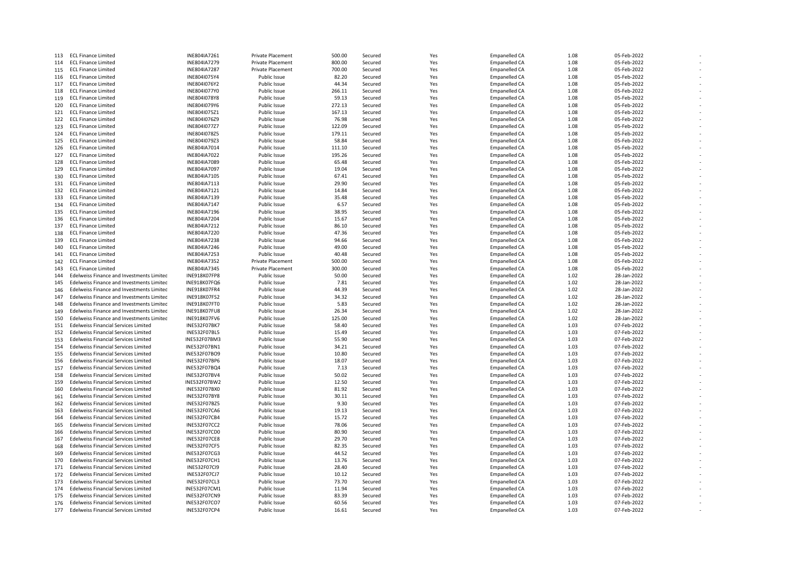| 113        | <b>ECL Finance Limited</b>                                                                    | INE804IA7261                 | Private Placement            | 500.00          | Secured            | Yes        | <b>Empanelled CA</b>                  | 1.08         | 05-Feb-2022                |  |
|------------|-----------------------------------------------------------------------------------------------|------------------------------|------------------------------|-----------------|--------------------|------------|---------------------------------------|--------------|----------------------------|--|
| 114        | <b>ECL Finance Limited</b>                                                                    | INE804IA7279                 | <b>Private Placement</b>     | 800.00          | Secured            | Yes        | <b>Empanelled CA</b>                  | 1.08         | 05-Feb-2022                |  |
| 115        | <b>ECL Finance Limited</b>                                                                    | INE804IA7287                 | <b>Private Placement</b>     | 700.00          | Secured            | Yes        | <b>Empanelled CA</b>                  | 1.08         | 05-Feb-2022                |  |
| 116        | <b>ECL Finance Limited</b>                                                                    | INE804I075Y4                 | Public Issue                 | 82.20           | Secured            | Yes        | Empanelled CA                         | 1.08         | 05-Feb-2022                |  |
| 117        | <b>ECL Finance Limited</b>                                                                    | INE804I076Y2                 | Public Issue                 | 44.34           | Secured            | Yes        | <b>Empanelled CA</b>                  | 1.08         | 05-Feb-2022                |  |
| 118        | <b>ECL Finance Limited</b>                                                                    | INE804I077Y0                 | Public Issue                 | 266.11          | Secured            | Yes        | Empanelled CA                         | 1.08         | 05-Feb-2022                |  |
| 119        | <b>ECL Finance Limited</b>                                                                    | INE804I078Y8                 | Public Issue                 | 59.13           | Secured            | Yes        | <b>Empanelled CA</b>                  | 1.08         | 05-Feb-2022                |  |
| 120        | <b>ECL Finance Limited</b>                                                                    | INE804I079Y6                 | Public Issue                 | 272.13          | Secured            | Yes        | <b>Empanelled CA</b>                  | 1.08         | 05-Feb-2022                |  |
| 121        | <b>ECL Finance Limited</b>                                                                    | INE804I075Z1                 | Public Issue                 | 167.13          | Secured            | Yes        | <b>Empanelled CA</b>                  | 1.08         | 05-Feb-2022                |  |
| 122        | <b>ECL Finance Limited</b>                                                                    | INE804I076Z9                 | Public Issue                 | 76.98           | Secured            | Yes        | <b>Empanelled CA</b>                  | 1.08         | 05-Feb-2022                |  |
| 123        | <b>ECL Finance Limited</b>                                                                    | INE804I077Z7                 | Public Issue                 | 122.09          | Secured            | Yes        | Empanelled CA                         | 1.08         | 05-Feb-2022                |  |
| 124        | <b>ECL Finance Limited</b>                                                                    | INE804I078Z5                 | Public Issue                 | 179.11          | Secured            | Yes        | Empanelled CA                         | 1.08         | 05-Feb-2022                |  |
| 125        | <b>ECL Finance Limited</b>                                                                    | INE804I079Z3                 | Public Issue                 | 58.84           | Secured            | Yes        | <b>Empanelled CA</b>                  | 1.08         | 05-Feb-2022                |  |
| 126        | <b>ECL Finance Limited</b>                                                                    | INE804IA7014                 | Public Issue                 | 111.10          | Secured            | Yes        | <b>Empanelled CA</b>                  | 1.08         | 05-Feb-2022                |  |
| 127        | <b>ECL Finance Limited</b>                                                                    | INE804IA7022                 | Public Issue                 | 195.26          | Secured            | Yes        | Empanelled CA                         | 1.08         | 05-Feb-2022                |  |
| 128        | <b>ECL Finance Limited</b>                                                                    | INE804IA7089                 | Public Issue                 | 65.48           | Secured            | Yes        | <b>Empanelled CA</b>                  | 1.08         | 05-Feb-2022                |  |
| 129        | <b>ECL Finance Limited</b>                                                                    | INE804IA7097                 | Public Issue                 | 19.04           | Secured            | Yes        | <b>Empanelled CA</b>                  | 1.08         | 05-Feb-2022                |  |
| 130        | <b>ECL Finance Limited</b>                                                                    | INE804IA7105                 | Public Issue                 | 67.41           | Secured            | Yes        | <b>Empanelled CA</b>                  | 1.08         | 05-Feb-2022                |  |
| 131        | <b>ECL Finance Limited</b>                                                                    | INE804IA7113                 | Public Issue                 | 29.90           | Secured            | Yes        | Empanelled CA                         | 1.08         | 05-Feb-2022                |  |
| 132        | <b>ECL Finance Limited</b>                                                                    | INE804IA7121                 | Public Issue                 | 14.84           | Secured            | Yes        | <b>Empanelled CA</b>                  | 1.08         | 05-Feb-2022                |  |
| 133        | <b>ECL Finance Limited</b>                                                                    | INE804IA7139                 | Public Issue                 | 35.48           | Secured            | Yes        | Empanelled CA                         | 1.08         | 05-Feb-2022                |  |
| 134        | <b>ECL Finance Limited</b>                                                                    | INE804IA7147                 | Public Issue                 | 6.57            | Secured            | Yes        | <b>Empanelled CA</b>                  | 1.08         | 05-Feb-2022                |  |
| 135        | <b>ECL Finance Limited</b>                                                                    | INE804IA7196                 | Public Issue                 | 38.95           | Secured            | Yes        | <b>Empanelled CA</b>                  | 1.08         | 05-Feb-2022                |  |
| 136        | <b>ECL Finance Limited</b>                                                                    | INE804IA7204                 | Public Issue                 | 15.67           | Secured            | Yes        | <b>Empanelled CA</b>                  | 1.08         | 05-Feb-2022                |  |
| 137        | <b>ECL Finance Limited</b>                                                                    | INE804IA7212                 | Public Issue                 | 86.10           | Secured            | Yes        | Empanelled CA                         | 1.08         | 05-Feb-2022                |  |
| 138        | <b>ECL Finance Limited</b>                                                                    | INE804IA7220                 | Public Issue                 | 47.36           | Secured            | Yes        | Empanelled CA                         | 1.08         | 05-Feb-2022                |  |
| 139        | <b>ECL Finance Limited</b>                                                                    | <b>INE804IA7238</b>          | Public Issue                 | 94.66           | Secured            | Yes        | Empanelled CA                         | 1.08         | 05-Feb-2022                |  |
| 140        | <b>ECL Finance Limited</b>                                                                    | INE804IA7246                 | Public Issue                 | 49.00           | Secured            | Yes        | <b>Empanelled CA</b>                  | 1.08         | 05-Feb-2022                |  |
| 141        | <b>ECL Finance Limited</b>                                                                    | INE804IA7253                 | Public Issue                 | 40.48           | Secured            | Yes        | Empanelled CA                         | 1.08         | 05-Feb-2022                |  |
| 142        | <b>ECL Finance Limited</b>                                                                    | INE804IA7352                 | Private Placement            | 500.00          | Secured            | Yes        | <b>Empanelled CA</b>                  | 1.08         | 05-Feb-2022                |  |
| 143        | <b>ECL Finance Limited</b>                                                                    | INE804IA7345                 | Private Placement            | 300.00          | Secured            | Yes        | Empanelled CA                         | 1.08         | 05-Feb-2022                |  |
| 144<br>145 | Edelweiss Finance and Investments Limitec<br><b>Edelweiss Finance and Investments Limited</b> | INE918K07FP8                 | Public Issue<br>Public Issue | 50.00           | Secured<br>Secured | Yes<br>Yes | Empanelled CA                         | 1.02<br>1.02 | 28-Jan-2022<br>28-Jan-2022 |  |
|            |                                                                                               | INE918K07FQ6                 |                              | 7.81            |                    |            | Empanelled CA                         | 1.02         |                            |  |
| 146<br>147 | Edelweiss Finance and Investments Limited                                                     | INE918K07FR4                 | Public Issue                 | 44.39<br>34.32  | Secured            | Yes        | Empanelled CA                         |              | 28-Jan-2022                |  |
| 148        | Edelweiss Finance and Investments Limitec<br>Edelweiss Finance and Investments Limited        | INE918K07FS2<br>INE918K07FT0 | Public Issue<br>Public Issue | 5.83            | Secured<br>Secured | Yes<br>Yes | Empanelled CA<br><b>Empanelled CA</b> | 1.02<br>1.02 | 28-Jan-2022<br>28-Jan-2022 |  |
|            |                                                                                               |                              |                              |                 |                    |            |                                       |              |                            |  |
| 149<br>150 | Edelweiss Finance and Investments Limitec<br>Edelweiss Finance and Investments Limitec        | INE918K07FU8<br>INE918K07FV6 | Public Issue<br>Public Issue | 26.34<br>125.00 | Secured<br>Secured | Yes<br>Yes | <b>Empanelled CA</b><br>Empanelled CA | 1.02<br>1.02 | 28-Jan-2022<br>28-Jan-2022 |  |
| 151        | <b>Edelweiss Financial Services Limited</b>                                                   | <b>INE532F07BK7</b>          | Public Issue                 | 58.40           | Secured            | Yes        | Empanelled CA                         | 1.03         | 07-Feb-2022                |  |
| 152        | <b>Edelweiss Financial Services Limited</b>                                                   | INE532F07BL5                 | Public Issue                 | 15.49           | Secured            | Yes        | <b>Empanelled CA</b>                  | 1.03         | 07-Feb-2022                |  |
| 153        | <b>Edelweiss Financial Services Limited</b>                                                   | INE532F07BM3                 | Public Issue                 | 55.90           | Secured            | Yes        | <b>Empanelled CA</b>                  | 1.03         | 07-Feb-2022                |  |
| 154        | <b>Edelweiss Financial Services Limited</b>                                                   | INE532F07BN1                 | Public Issue                 | 34.21           | Secured            | Yes        | Empanelled CA                         | 1.03         | 07-Feb-2022                |  |
| 155        | <b>Edelweiss Financial Services Limited</b>                                                   | INE532F07BO9                 | Public Issue                 | 10.80           | Secured            | Yes        | <b>Empanelled CA</b>                  | 1.03         | 07-Feb-2022                |  |
| 156        | <b>Edelweiss Financial Services Limited</b>                                                   | INE532F07BP6                 | Public Issue                 | 18.07           | Secured            | Yes        | <b>Empanelled CA</b>                  | 1.03         | 07-Feb-2022                |  |
| 157        | <b>Edelweiss Financial Services Limited</b>                                                   | INE532F07BQ4                 | Public Issue                 | 7.13            | Secured            | Yes        | <b>Empanelled CA</b>                  | 1.03         | 07-Feb-2022                |  |
| 158        | <b>Edelweiss Financial Services Limited</b>                                                   | INE532F07BV4                 | Public Issue                 | 50.02           | Secured            | Yes        | Empanelled CA                         | 1.03         | 07-Feb-2022                |  |
| 159        | <b>Edelweiss Financial Services Limited</b>                                                   | INE532F07BW2                 | Public Issue                 | 12.50           | Secured            | Yes        | <b>Empanelled CA</b>                  | 1.03         | 07-Feb-2022                |  |
| 160        | <b>Edelweiss Financial Services Limited</b>                                                   | INE532F07BX0                 | Public Issue                 | 81.92           | Secured            | Yes        | Empanelled CA                         | 1.03         | 07-Feb-2022                |  |
| 161        | <b>Edelweiss Financial Services Limited</b>                                                   | <b>INE532F07BY8</b>          | Public Issue                 | 30.11           | Secured            | Yes        | <b>Empanelled CA</b>                  | 1.03         | 07-Feb-2022                |  |
| 162        | <b>Edelweiss Financial Services Limited</b>                                                   | INE532F07BZ5                 | Public Issue                 | 9.30            | Secured            | Yes        | <b>Empanelled CA</b>                  | 1.03         | 07-Feb-2022                |  |
| 163        | <b>Edelweiss Financial Services Limited</b>                                                   | INE532F07CA6                 | Public Issue                 | 19.13           | Secured            | Yes        | <b>Empanelled CA</b>                  | 1.03         | 07-Feb-2022                |  |
| 164        | <b>Edelweiss Financial Services Limited</b>                                                   | INE532F07CB4                 | Public Issue                 | 15.72           | Secured            | Yes        | <b>Empanelled CA</b>                  | 1.03         | 07-Feb-2022                |  |
| 165        | <b>Edelweiss Financial Services Limited</b>                                                   | INE532F07CC2                 | Public Issue                 | 78.06           | Secured            | Yes        | <b>Empanelled CA</b>                  | 1.03         | 07-Feb-2022                |  |
| 166        | <b>Edelweiss Financial Services Limited</b>                                                   | INE532F07CD0                 | Public Issue                 | 80.90           | Secured            | Yes        | <b>Empanelled CA</b>                  | 1.03         | 07-Feb-2022                |  |
| 167        | <b>Edelweiss Financial Services Limited</b>                                                   | INE532F07CE8                 | Public Issue                 | 29.70           | Secured            | Yes        | <b>Empanelled CA</b>                  | 1.03         | 07-Feb-2022                |  |
| 168        | <b>Edelweiss Financial Services Limited</b>                                                   | INE532F07CF5                 | Public Issue                 | 82.35           | Secured            | Yes        | <b>Empanelled CA</b>                  | 1.03         | 07-Feb-2022                |  |
| 169        | <b>Edelweiss Financial Services Limited</b>                                                   | INE532F07CG3                 | Public Issue                 | 44.52           | Secured            | Yes        | <b>Empanelled CA</b>                  | 1.03         | 07-Feb-2022                |  |
| 170        | <b>Edelweiss Financial Services Limited</b>                                                   | INE532F07CH1                 | Public Issue                 | 13.76           | Secured            | Yes        | <b>Empanelled CA</b>                  | 1.03         | 07-Feb-2022                |  |
| 171        | <b>Edelweiss Financial Services Limited</b>                                                   | <b>INE532F07CI9</b>          | Public Issue                 | 28.40           | Secured            | Yes        | <b>Empanelled CA</b>                  | 1.03         | 07-Feb-2022                |  |
| 172        | <b>Edelweiss Financial Services Limited</b>                                                   | <b>INE532F07CJ7</b>          | Public Issue                 | 10.12           | Secured            | Yes        | <b>Empanelled CA</b>                  | 1.03         | 07-Feb-2022                |  |
| 173        | <b>Edelweiss Financial Services Limited</b>                                                   | INE532F07CL3                 | Public Issue                 | 73.70           | Secured            | Yes        | <b>Empanelled CA</b>                  | 1.03         | 07-Feb-2022                |  |
| 174        | <b>Edelweiss Financial Services Limited</b>                                                   | INE532F07CM1                 | Public Issue                 | 11.94           | Secured            | Yes        | <b>Empanelled CA</b>                  | 1.03         | 07-Feb-2022                |  |
| 175        | <b>Edelweiss Financial Services Limited</b>                                                   | INE532F07CN9                 | Public Issue                 | 83.39           | Secured            | Yes        | <b>Empanelled CA</b>                  | 1.03         | 07-Feb-2022                |  |
| 176        | Edelweiss Financial Services Limited                                                          | INE532F07CO7                 | Public Issue                 | 60.56           | Secured            | Yes        | <b>Empanelled CA</b>                  | 1.03         | 07-Feb-2022                |  |
| 177        | <b>Edelweiss Financial Services Limited</b>                                                   | INE532F07CP4                 | Public Issue                 | 16.61           | Secured            | Yes        | <b>Empanelled CA</b>                  | 1.03         | 07-Feb-2022                |  |

-

-

-

-

-

-

-

-

-

-

-

-

-

-

-

-

-

-

-

-

-

-

-

-

-

-

-

-

-

-

-

-

-

-

-

-

-

-

-

-

-

-

-

-

-

-

-

-

-

-

-

-

-

-

-

-

-

-

-

-

-

-

-

-

-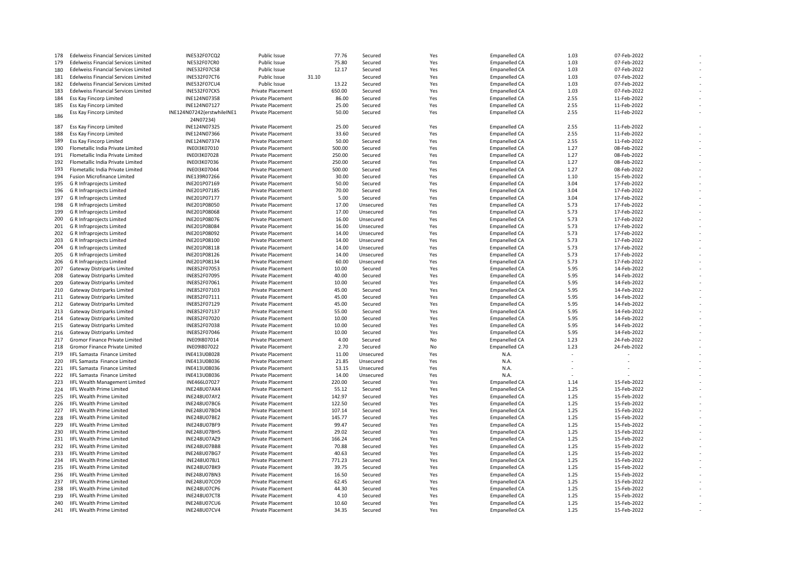| 178        | <b>Edelweiss Financial Services Limited</b> | INE532F07CQ2               | Public Issue             |       | 77.76  | Secured   | Yes        | <b>Empanelled CA</b> | 1.03 | 07-Feb-2022 |  |
|------------|---------------------------------------------|----------------------------|--------------------------|-------|--------|-----------|------------|----------------------|------|-------------|--|
| 179        | <b>Edelweiss Financial Services Limited</b> | <b>NE532F07CR0</b>         | Public Issue             |       | 75.80  | Secured   | Yes        | <b>Empanelled CA</b> | 1.03 | 07-Feb-2022 |  |
| 180        | <b>Edelweiss Financial Services Limited</b> | <b>INE532F07CS8</b>        | Public Issue             |       | 12.17  | Secured   | Yes        | <b>Empanelled CA</b> | 1.03 | 07-Feb-2022 |  |
| 181        | <b>Edelweiss Financial Services Limited</b> | INE532F07CT6               | Public Issue             | 31.10 |        | Secured   | Yes        | <b>Empanelled CA</b> | 1.03 | 07-Feb-2022 |  |
| 182        | <b>Edelweiss Financial Services Limited</b> | <b>INE532F07CU4</b>        | Public Issue             |       | 13.22  | Secured   | Yes        | <b>Empanelled CA</b> | 1.03 | 07-Feb-2022 |  |
| 183        | <b>Edelweiss Financial Services Limited</b> | INE532F07CK5               | Private Placement        |       | 650.00 | Secured   | Yes        | <b>Empanelled CA</b> | 1.03 | 07-Feb-2022 |  |
| 184        | Ess Kay Fincorp Limited                     | INE124N07358               | Private Placement        |       | 86.00  | Secured   | Yes        | <b>Empanelled CA</b> | 2.55 | 11-Feb-2022 |  |
| 185        | Ess Kay Fincorp Limited                     | INE124N07127               | <b>Private Placement</b> |       | 25.00  | Secured   | Yes        | <b>Empanelled CA</b> | 2.55 | 11-Feb-2022 |  |
|            | Ess Kay Fincorp Limited                     | INE124N07242(erstwhileINE1 | Private Placement        |       | 50.00  | Secured   | Yes        | <b>Empanelled CA</b> | 2.55 | 11-Feb-2022 |  |
| 186        |                                             |                            |                          |       |        |           |            |                      |      |             |  |
|            |                                             | 24N07234)                  |                          |       |        |           |            |                      |      |             |  |
| 187        | Ess Kay Fincorp Limited                     | INE124N07325               | <b>Private Placement</b> |       | 25.00  | Secured   | Yes        | <b>Empanelled CA</b> | 2.55 | 11-Feb-2022 |  |
| 188        | Ess Kay Fincorp Limited                     | INE124N07366               | <b>Private Placement</b> |       | 33.60  | Secured   | Yes        | <b>Empanelled CA</b> | 2.55 | 11-Feb-2022 |  |
| 189        | Ess Kay Fincorp Limited                     | INE124N07374               | Private Placement        |       | 50.00  | Secured   | Yes        | <b>Empanelled CA</b> | 2.55 | 11-Feb-2022 |  |
| 190        | Flometallic India Private Limited           | INE0I3K07010               | <b>Private Placement</b> |       | 500.00 | Secured   | Yes        | <b>Empanelled CA</b> | 1.27 | 08-Feb-2022 |  |
| 191        | Flometallic India Private Limited           | INE013K07028               | Private Placement        |       | 250.00 | Secured   | Yes        | <b>Empanelled CA</b> | 1.27 | 08-Feb-2022 |  |
| 192        | Flometallic India Private Limited           | <b>INE0I3K07036</b>        | <b>Private Placement</b> |       | 250.00 | Secured   | Yes        | <b>Empanelled CA</b> | 1.27 | 08-Feb-2022 |  |
| 193        | Flometallic India Private Limited           | INE013K07044               | Private Placement        |       | 500.00 | Secured   | Yes        | <b>Empanelled CA</b> | 1.27 | 08-Feb-2022 |  |
| 194        | <b>Fusion Microfinance Limited</b>          | INE139R07266               | <b>Private Placement</b> |       | 30.00  | Secured   | Yes        | <b>Empanelled CA</b> | 1.10 | 15-Feb-2022 |  |
| 195        | G R Infraprojects Limited                   | INE201P07169               | Private Placement        |       | 50.00  | Secured   | Yes        | <b>Empanelled CA</b> | 3.04 | 17-Feb-2022 |  |
| 196        | G R Infraprojects Limited                   | INE201P07185               | Private Placement        |       | 70.00  | Secured   | Yes        | <b>Empanelled CA</b> | 3.04 | 17-Feb-2022 |  |
| 197        | G R Infraprojects Limited                   | INE201P07177               | <b>Private Placement</b> |       | 5.00   | Secured   | Yes        | <b>Empanelled CA</b> | 3.04 | 17-Feb-2022 |  |
| 198        | G R Infraprojects Limited                   | INE201P08050               | <b>Private Placement</b> |       | 17.00  | Unsecured | Yes        | <b>Empanelled CA</b> | 5.73 | 17-Feb-2022 |  |
| 199        | G R Infraprojects Limited                   | INE201P08068               | Private Placement        |       | 17.00  | Unsecured | Yes        | <b>Empanelled CA</b> | 5.73 | 17-Feb-2022 |  |
| 200        | G R Infraprojects Limited                   | INE201P08076               | Private Placement        |       | 16.00  | Unsecured | Yes        | <b>Empanelled CA</b> | 5.73 | 17-Feb-2022 |  |
| 201        | G R Infraprojects Limited                   | INE201P08084               | <b>Private Placement</b> |       | 16.00  | Unsecured | Yes        | <b>Empanelled CA</b> | 5.73 | 17-Feb-2022 |  |
| 202        | G R Infraprojects Limited                   | INE201P08092               | <b>Private Placement</b> |       | 14.00  | Unsecured | Yes        | <b>Empanelled CA</b> | 5.73 | 17-Feb-2022 |  |
| 203        | G R Infraprojects Limited                   | INE201P08100               | <b>Private Placement</b> |       | 14.00  | Unsecured | Yes        | Empanelled CA        | 5.73 | 17-Feb-2022 |  |
| 204        | G R Infraprojects Limited                   | INE201P08118               | <b>Private Placement</b> |       | 14.00  | Unsecured | Yes        | <b>Empanelled CA</b> | 5.73 | 17-Feb-2022 |  |
| 205        | G R Infraprojects Limited                   | INE201P08126               | <b>Private Placement</b> |       | 14.00  | Unsecured | Yes        | <b>Empanelled CA</b> | 5.73 | 17-Feb-2022 |  |
| 206        | G R Infraprojects Limited                   | INE201P08134               | Private Placement        |       | 60.00  | Unsecured | Yes        | <b>Empanelled CA</b> | 5.73 | 17-Feb-2022 |  |
| 207        | Gateway Distriparks Limited                 | INE852F07053               | <b>Private Placement</b> |       | 10.00  | Secured   | Yes        | <b>Empanelled CA</b> | 5.95 | 14-Feb-2022 |  |
|            | Gateway Distriparks Limited                 | INE852F07095               | Private Placement        |       | 40.00  | Secured   |            | <b>Empanelled CA</b> | 5.95 | 14-Feb-2022 |  |
| 208<br>209 | Gateway Distriparks Limited                 | INE852F07061               | Private Placement        |       | 10.00  | Secured   | Yes<br>Yes | <b>Empanelled CA</b> | 5.95 | 14-Feb-2022 |  |
|            |                                             |                            |                          |       |        |           |            |                      |      |             |  |
| 210        | Gateway Distriparks Limited                 | INE852F07103               | Private Placement        |       | 45.00  | Secured   | Yes        | <b>Empanelled CA</b> | 5.95 | 14-Feb-2022 |  |
| 211        | <b>Gateway Distriparks Limited</b>          | INE852F07111               | Private Placement        |       | 45.00  | Secured   | Yes        | <b>Empanelled CA</b> | 5.95 | 14-Feb-2022 |  |
| 212        | <b>Gateway Distriparks Limited</b>          | INE852F07129               | <b>Private Placement</b> |       | 45.00  | Secured   | Yes        | <b>Empanelled CA</b> | 5.95 | 14-Feb-2022 |  |
| 213        | <b>Gateway Distriparks Limited</b>          | INE852F07137               | Private Placement        |       | 55.00  | Secured   | Yes        | <b>Empanelled CA</b> | 5.95 | 14-Feb-2022 |  |
| 214        | Gateway Distriparks Limited                 | INE852F07020               | <b>Private Placement</b> |       | 10.00  | Secured   | Yes        | <b>Empanelled CA</b> | 5.95 | 14-Feb-2022 |  |
| 215        | Gateway Distriparks Limited                 | INE852F07038               | <b>Private Placement</b> |       | 10.00  | Secured   | Yes        | <b>Empanelled CA</b> | 5.95 | 14-Feb-2022 |  |
| 216        | <b>Gateway Distriparks Limited</b>          | INE852F07046               | <b>Private Placement</b> |       | 10.00  | Secured   | Yes        | <b>Empanelled CA</b> | 5.95 | 14-Feb-2022 |  |
| 217        | Gromor Finance Private Limited              | INE091807014               | <b>Private Placement</b> |       | 4.00   | Secured   | No         | <b>Empanelled CA</b> | 1.23 | 24-Feb-2022 |  |
| 218        | Gromor Finance Private Limited              | INE09I807022               | <b>Private Placement</b> |       | 2.70   | Secured   | No         | <b>Empanelled CA</b> | 1.23 | 24-Feb-2022 |  |
| 219        | IIFL Samasta Finance Limited                | INE413U08028               | <b>Private Placement</b> |       | 11.00  | Unsecured | Yes        | N.A.                 |      |             |  |
| 220        | IIFL Samasta Finance Limited                | INE413U08036               | <b>Private Placement</b> |       | 21.85  | Unsecured | Yes        | N.A.                 |      |             |  |
| 221        | IIFL Samasta Finance Limited                | INE413U08036               | <b>Private Placement</b> |       | 53.15  | Unsecured | Yes        | N.A.                 |      |             |  |
| 222        | <b>IIFL Samasta Finance Limited</b>         | INE413U08036               | Private Placement        |       | 14.00  | Unsecured | Yes        | N.A.                 |      |             |  |
| 223        | IIFL Wealth Management Limited              | INE466L07027               | Private Placement        |       | 220.00 | Secured   | Yes        | <b>Empanelled CA</b> | 1.14 | 15-Feb-2022 |  |
| 224        | <b>IIFL Wealth Prime Limited</b>            | <b>INE248U07AX4</b>        | <b>Private Placement</b> |       | 55.12  | Secured   | Yes        | <b>Empanelled CA</b> | 1.25 | 15-Feb-2022 |  |
| 225        | <b>IIFL Wealth Prime Limited</b>            | <b>INE248U07AY2</b>        | Private Placement        |       | 142.97 | Secured   | Yes        | <b>Empanelled CA</b> | 1.25 | 15-Feb-2022 |  |
| 226        | <b>IIFL Wealth Prime Limited</b>            | <b>INE248U07BC6</b>        | Private Placement        |       | 122.50 | Secured   | Yes        | <b>Empanelled CA</b> | 1.25 | 15-Feb-2022 |  |
| 227        | <b>IIFL Wealth Prime Limited</b>            | INE248U07BD4               | Private Placement        |       | 107.14 | Secured   | Yes        | <b>Empanelled CA</b> | 1.25 | 15-Feb-2022 |  |
| 228        | <b>IIFL Wealth Prime Limited</b>            | INE248U07BE2               | <b>Private Placement</b> |       | 145.77 | Secured   | Yes        | <b>Empanelled CA</b> | 1.25 | 15-Feb-2022 |  |
| 229        | <b>IIFL Wealth Prime Limited</b>            | INE248U07BF9               | <b>Private Placement</b> |       | 99.47  | Secured   | Yes        | <b>Empanelled CA</b> | 1.25 | 15-Feb-2022 |  |
| 230        | IIFL Wealth Prime Limited                   | INE248U07BH5               | Private Placement        |       | 29.02  | Secured   | Yes        | <b>Empanelled CA</b> | 1.25 | 15-Feb-2022 |  |
| 231        | <b>IIFL Wealth Prime Limited</b>            | INE248U07AZ9               | <b>Private Placement</b> |       | 166.24 | Secured   | Yes        | <b>Empanelled CA</b> | 1.25 | 15-Feb-2022 |  |
| 232        | <b>IIFL Wealth Prime Limited</b>            |                            | <b>Private Placement</b> |       | 70.88  | Secured   | Yes        |                      | 1.25 | 15-Feb-2022 |  |
|            |                                             | INE248U07BB8               |                          |       |        |           |            | <b>Empanelled CA</b> |      |             |  |
| 233        | <b>IIFL Wealth Prime Limited</b>            | INE248U07BG7               | <b>Private Placement</b> |       | 40.63  | Secured   | Yes        | <b>Empanelled CA</b> | 1.25 | 15-Feb-2022 |  |
| 234        | <b>IIFL Wealth Prime Limited</b>            | INE248U07BJ1               | <b>Private Placement</b> |       | 771.23 | Secured   | Yes        | <b>Empanelled CA</b> | 1.25 | 15-Feb-2022 |  |
| 235        | <b>IIFL Wealth Prime Limited</b>            | <b>INE248U07BK9</b>        | <b>Private Placement</b> |       | 39.75  | Secured   | Yes        | <b>Empanelled CA</b> | 1.25 | 15-Feb-2022 |  |
| 236        | <b>IIFL Wealth Prime Limited</b>            | INE248U07BN3               | <b>Private Placement</b> |       | 16.50  | Secured   | Yes        | <b>Empanelled CA</b> | 1.25 | 15-Feb-2022 |  |
| 237        | <b>IIFL Wealth Prime Limited</b>            | INE248U07CO9               | <b>Private Placement</b> |       | 62.45  | Secured   | Yes        | <b>Empanelled CA</b> | 1.25 | 15-Feb-2022 |  |
| 238        | <b>IIFL Wealth Prime Limited</b>            | <b>INE248U07CP6</b>        | <b>Private Placement</b> |       | 44.30  | Secured   | Yes        | <b>Empanelled CA</b> | 1.25 | 15-Feb-2022 |  |
| 239        | <b>IIFL Wealth Prime Limited</b>            | <b>INE248U07CT8</b>        | <b>Private Placement</b> |       | 4.10   | Secured   | Yes        | <b>Empanelled CA</b> | 1.25 | 15-Feb-2022 |  |
| 240        | <b>IIFL Wealth Prime Limited</b>            | <b>INE248U07CU6</b>        | Private Placement        |       | 10.60  | Secured   | Yes        | <b>Empanelled CA</b> | 1.25 | 15-Feb-2022 |  |
| 241        | <b>IIFL Wealth Prime Limited</b>            | <b>INE248U07CV4</b>        | <b>Private Placement</b> |       | 34.35  | Secured   | Yes        | <b>Empanelled CA</b> | 1.25 | 15-Feb-2022 |  |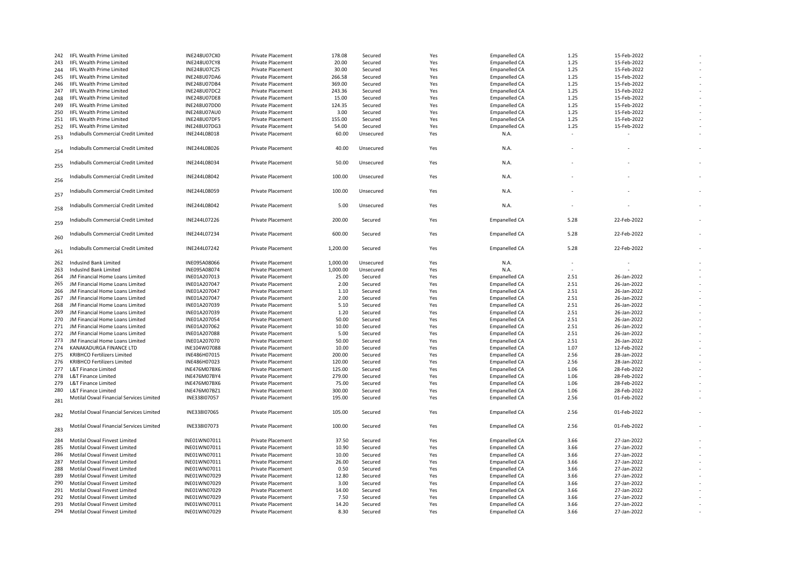| 242 | <b>IIFL Wealth Prime Limited</b>            | <b>INE248U07CX0</b> | <b>Private Placement</b> | 178.08   | Secured   | Yes | <b>Empanelled CA</b> | 1.25 | 15-Feb-2022 |  |
|-----|---------------------------------------------|---------------------|--------------------------|----------|-----------|-----|----------------------|------|-------------|--|
| 243 | <b>IIFL Wealth Prime Limited</b>            | <b>INE248U07CY8</b> | <b>Private Placement</b> | 20.00    | Secured   | Yes | Empanelled CA        | 1.25 | 15-Feb-2022 |  |
| 244 | <b>IIFL Wealth Prime Limited</b>            | INE248U07CZ5        | <b>Private Placement</b> | 30.00    | Secured   | Yes | <b>Empanelled CA</b> | 1.25 | 15-Feb-2022 |  |
| 245 | IIFL Wealth Prime Limited                   | <b>INE248U07DA6</b> | <b>Private Placement</b> | 266.58   | Secured   | Yes | Empanelled CA        | 1.25 | 15-Feb-2022 |  |
| 246 | <b>IIFL Wealth Prime Limited</b>            | INE248U07DB4        | Private Placement        | 369.00   | Secured   | Yes | <b>Empanelled CA</b> | 1.25 | 15-Feb-2022 |  |
| 247 | <b>IIFL Wealth Prime Limited</b>            | <b>INE248U07DC2</b> | <b>Private Placement</b> | 243.36   | Secured   | Yes | <b>Empanelled CA</b> | 1.25 | 15-Feb-2022 |  |
| 248 |                                             |                     |                          |          |           |     |                      | 1.25 | 15-Feb-2022 |  |
|     | <b>IIFL Wealth Prime Limited</b>            | <b>INE248U07DE8</b> | Private Placement        | 15.00    | Secured   | Yes | <b>Empanelled CA</b> |      |             |  |
| 249 | IIFL Wealth Prime Limited                   | INE248U07DD0        | <b>Private Placement</b> | 124.35   | Secured   | Yes | <b>Empanelled CA</b> | 1.25 | 15-Feb-2022 |  |
| 250 | IIFL Wealth Prime Limited                   | <b>INE248U07AU0</b> | <b>Private Placement</b> | 3.00     | Secured   | Yes | Empanelled CA        | 1.25 | 15-Feb-2022 |  |
| 251 | IIFL Wealth Prime Limited                   | INE248U07DF5        | <b>Private Placement</b> | 155.00   | Secured   | Yes | <b>Empanelled CA</b> | 1.25 | 15-Feb-2022 |  |
| 252 | IIFL Wealth Prime Limited                   | INE248U07DG3        | Private Placement        | 54.00    | Secured   | Yes | Empanelled CA        | 1.25 | 15-Feb-2022 |  |
|     | Indiabulls Commercial Credit Limited        | INE244L08018        | Private Placement        | 60.00    | Unsecured | Yes | N.A.                 |      |             |  |
| 253 |                                             |                     |                          |          |           |     |                      |      |             |  |
| 254 | Indiabulls Commercial Credit Limited        | INE244L08026        | <b>Private Placement</b> | 40.00    | Unsecured | Yes | N.A.                 |      |             |  |
| 255 | <b>Indiabulls Commercial Credit Limited</b> | INE244L08034        | <b>Private Placement</b> | 50.00    | Unsecured | Yes | N.A.                 |      |             |  |
| 256 | Indiabulls Commercial Credit Limited        | INE244L08042        | <b>Private Placement</b> | 100.00   | Unsecured | Yes | N.A.                 |      |             |  |
| 257 | Indiabulls Commercial Credit Limited        | INE244L08059        | <b>Private Placement</b> | 100.00   | Unsecured | Yes | N.A.                 |      |             |  |
| 258 | Indiabulls Commercial Credit Limited        | INE244L08042        | <b>Private Placement</b> | 5.00     | Unsecured | Yes | N.A.                 |      |             |  |
| 259 | Indiabulls Commercial Credit Limited        | INE244L07226        | <b>Private Placement</b> | 200.00   | Secured   | Yes | <b>Empanelled CA</b> | 5.28 | 22-Feb-2022 |  |
| 260 | Indiabulls Commercial Credit Limited        | INE244L07234        | Private Placement        | 600.00   | Secured   | Yes | <b>Empanelled CA</b> | 5.28 | 22-Feb-2022 |  |
| 261 | Indiabulls Commercial Credit Limited        | INE244L07242        | <b>Private Placement</b> | 1,200.00 | Secured   | Yes | <b>Empanelled CA</b> | 5.28 | 22-Feb-2022 |  |
| 262 | IndusInd Bank Limited                       | INE095A08066        | Private Placement        | 1,000.00 | Unsecured | Yes | N.A.                 |      |             |  |
| 263 | IndusInd Bank Limited                       | INE095A08074        | Private Placement        | 1,000.00 | Unsecured | Yes | N.A.                 |      |             |  |
| 264 | JM Financial Home Loans Limited             | INE01A207013        | Private Placement        | 25.00    | Secured   | Yes | <b>Empanelled CA</b> | 2.51 | 26-Jan-2022 |  |
| 265 | JM Financial Home Loans Limited             | INE01A207047        | Private Placement        | 2.00     | Secured   | Yes | <b>Empanelled CA</b> | 2.51 | 26-Jan-2022 |  |
| 266 | JM Financial Home Loans Limited             | INE01A207047        | Private Placement        | 1.10     | Secured   | Yes | <b>Empanelled CA</b> | 2.51 | 26-Jan-2022 |  |
| 267 | JM Financial Home Loans Limited             | INE01A207047        | Private Placement        | 2.00     |           |     | <b>Empanelled CA</b> | 2.51 | 26-Jan-2022 |  |
|     |                                             |                     |                          |          | Secured   | Yes |                      |      |             |  |
| 268 | JM Financial Home Loans Limited             | INE01A207039        | Private Placement        | 5.10     | Secured   | Yes | <b>Empanelled CA</b> | 2.51 | 26-Jan-2022 |  |
| 269 | JM Financial Home Loans Limited             | INE01A207039        | <b>Private Placement</b> | 1.20     | Secured   | Yes | <b>Empanelled CA</b> | 2.51 | 26-Jan-2022 |  |
| 270 | JM Financial Home Loans Limited             | INE01A207054        | <b>Private Placement</b> | 50.00    | Secured   | Yes | <b>Empanelled CA</b> | 2.51 | 26-Jan-2022 |  |
| 271 | JM Financial Home Loans Limited             | INE01A207062        | <b>Private Placement</b> | 10.00    | Secured   | Yes | <b>Empanelled CA</b> | 2.51 | 26-Jan-2022 |  |
| 272 | JM Financial Home Loans Limited             | INE01A207088        | Private Placement        | 5.00     | Secured   | Yes | <b>Empanelled CA</b> | 2.51 | 26-Jan-2022 |  |
| 273 | JM Financial Home Loans Limited             | INE01A207070        | Private Placement        | 50.00    | Secured   | Yes | <b>Empanelled CA</b> | 2.51 | 26-Jan-2022 |  |
| 274 | KANAKADURGA FINANCE LTD                     | INE104W07088        | <b>Private Placement</b> | 10.00    | Secured   | Yes | <b>Empanelled CA</b> | 1.07 | 12-Feb-2022 |  |
| 275 | <b>KRIBHCO Fertilizers Limited</b>          | INE486H07015        | Private Placement        | 200.00   | Secured   | Yes | <b>Empanelled CA</b> | 2.56 | 28-Jan-2022 |  |
| 276 | <b>KRIBHCO Fertilizers Limited</b>          | INE486H07023        | <b>Private Placement</b> | 120.00   | Secured   | Yes | <b>Empanelled CA</b> | 2.56 | 28-Jan-2022 |  |
| 277 | <b>L&amp;T Finance Limited</b>              | INE476M07BX6        | <b>Private Placement</b> | 125.00   | Secured   | Yes | <b>Empanelled CA</b> | 1.06 | 28-Feb-2022 |  |
| 278 | <b>L&amp;T Finance Limited</b>              | INE476M07BY4        | <b>Private Placement</b> | 279.00   | Secured   | Yes | <b>Empanelled CA</b> | 1.06 | 28-Feb-2022 |  |
|     |                                             |                     |                          |          |           |     |                      |      |             |  |
| 279 | <b>L&amp;T Finance Limited</b>              | INE476M07BX6        | Private Placement        | 75.00    | Secured   | Yes | <b>Empanelled CA</b> | 1.06 | 28-Feb-2022 |  |
| 280 | <b>L&amp;T Finance Limited</b>              | INE476M07BZ1        | <b>Private Placement</b> | 300.00   | Secured   | Yes | <b>Empanelled CA</b> | 1.06 | 28-Feb-2022 |  |
| 281 | Motilal Oswal Financial Services Limited    | INE338I07057        | Private Placement        | 195.00   | Secured   | Yes | <b>Empanelled CA</b> | 2.56 | 01-Feb-2022 |  |
| 282 | Motilal Oswal Financial Services Limited    | INE338I07065        | <b>Private Placement</b> | 105.00   | Secured   | Yes | <b>Empanelled CA</b> | 2.56 | 01-Feb-2022 |  |
| 283 | Motilal Oswal Financial Services Limited    | INE338I07073        | <b>Private Placement</b> | 100.00   | Secured   | Yes | <b>Empanelled CA</b> | 2.56 | 01-Feb-2022 |  |
| 284 | Motilal Oswal Finvest Limited               | INE01WN07011        | Private Placement        | 37.50    | Secured   | Yes | <b>Empanelled CA</b> | 3.66 | 27-Jan-2022 |  |
| 285 | Motilal Oswal Finvest Limited               | INE01WN07011        | Private Placement        | 10.90    | Secured   | Yes | <b>Empanelled CA</b> | 3.66 | 27-Jan-2022 |  |
| 286 | Motilal Oswal Finvest Limited               | INE01WN07011        | Private Placement        | 10.00    | Secured   | Yes | <b>Empanelled CA</b> | 3.66 | 27-Jan-2022 |  |
| 287 | Motilal Oswal Finvest Limited               | INE01WN07011        | <b>Private Placement</b> | 26.00    | Secured   | Yes | <b>Empanelled CA</b> | 3.66 | 27-Jan-2022 |  |
| 288 | Motilal Oswal Finvest Limited               | INE01WN07011        | Private Placement        | 0.50     | Secured   | Yes | <b>Empanelled CA</b> | 3.66 | 27-Jan-2022 |  |
| 289 | Motilal Oswal Finvest Limited               | INE01WN07029        | <b>Private Placement</b> | 12.80    | Secured   | Yes | <b>Empanelled CA</b> | 3.66 | 27-Jan-2022 |  |
| 290 | Motilal Oswal Finvest Limited               | INE01WN07029        | Private Placement        | 3.00     | Secured   | Yes | <b>Empanelled CA</b> | 3.66 | 27-Jan-2022 |  |
| 291 | Motilal Oswal Finvest Limited               | INE01WN07029        | <b>Private Placement</b> | 14.00    | Secured   | Yes | <b>Empanelled CA</b> | 3.66 | 27-Jan-2022 |  |
| 292 | Motilal Oswal Finvest Limited               | INE01WN07029        | Private Placement        | 7.50     | Secured   | Yes | <b>Empanelled CA</b> | 3.66 | 27-Jan-2022 |  |
| 293 | Motilal Oswal Finvest Limited               | INE01WN07011        | <b>Private Placement</b> | 14.20    | Secured   | Yes | <b>Empanelled CA</b> | 3.66 | 27-Jan-2022 |  |
| 294 | Motilal Oswal Finvest Limited               | INE01WN07029        | <b>Private Placement</b> | 8.30     | Secured   | Yes |                      | 3.66 | 27-Jan-2022 |  |
|     |                                             |                     |                          |          |           |     | <b>Empanelled CA</b> |      |             |  |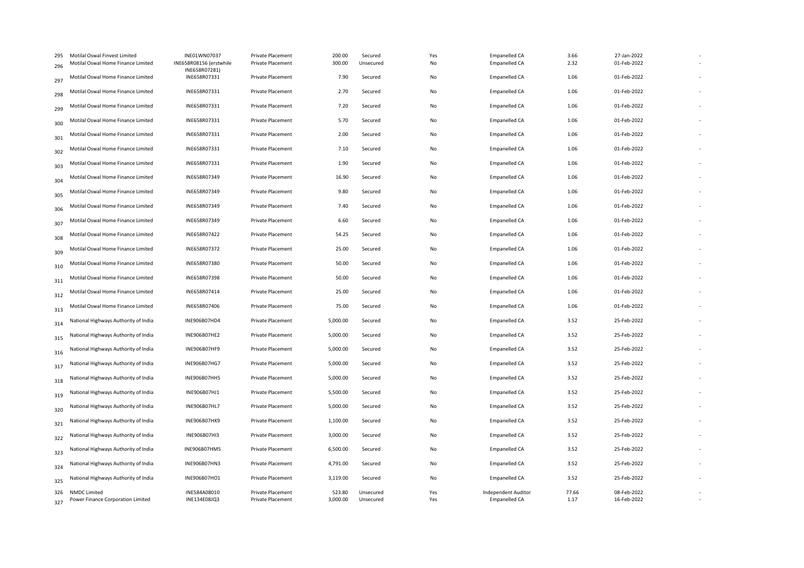| 295<br>296 | Motilal Oswal Finvest Limited<br>Motilal Oswal Home Finance Limited | INE01WN07037<br>INE658R08156 (erstwhile | Private Placement<br>Private Placement | 200.00<br>300.00   | Secured<br>Unsecured   | Yes<br>No  | <b>Empanelled CA</b><br><b>Empanelled CA</b> | 3.66<br>2.32  | 27-Jan-2022<br>01-Feb-2022 |  |
|------------|---------------------------------------------------------------------|-----------------------------------------|----------------------------------------|--------------------|------------------------|------------|----------------------------------------------|---------------|----------------------------|--|
| 297        | Motilal Oswal Home Finance Limited                                  | INE658R07281)<br>INE658R07331           | <b>Private Placement</b>               | 7.90               | Secured                | No         | <b>Empanelled CA</b>                         | 1.06          | 01-Feb-2022                |  |
| 298        | Motilal Oswal Home Finance Limited                                  | INE658R07331                            | Private Placement                      | 2.70               | Secured                | No         | Empanelled CA                                | 1.06          | 01-Feb-2022                |  |
| 299        | Motilal Oswal Home Finance Limited                                  | INE658R07331                            | Private Placement                      | 7.20               | Secured                | No         | Empanelled CA                                | 1.06          | 01-Feb-2022                |  |
| 300        | Motilal Oswal Home Finance Limited                                  | INE658R07331                            | Private Placement                      | 5.70               | Secured                | No         | <b>Empanelled CA</b>                         | 1.06          | 01-Feb-2022                |  |
| 301        | Motilal Oswal Home Finance Limited                                  | INE658R07331                            | Private Placement                      | 2.00               | Secured                | No         | Empanelled CA                                | 1.06          | 01-Feb-2022                |  |
| 302        | Motilal Oswal Home Finance Limited                                  | INE658R07331                            | <b>Private Placement</b>               | 7.10               | Secured                | No         | Empanelled CA                                | 1.06          | 01-Feb-2022                |  |
| 303        | Motilal Oswal Home Finance Limited                                  | INE658R07331                            | Private Placement                      | 1.90               | Secured                | No         | <b>Empanelled CA</b>                         | 1.06          | 01-Feb-2022                |  |
| 304        | Motilal Oswal Home Finance Limited                                  | INE658R07349                            | <b>Private Placement</b>               | 16.90              | Secured                | No         | Empanelled CA                                | 1.06          | 01-Feb-2022                |  |
| 305        | Motilal Oswal Home Finance Limited                                  | INE658R07349                            | Private Placement                      | 9.80               | Secured                | No         | <b>Empanelled CA</b>                         | 1.06          | 01-Feb-2022                |  |
| 306        | Motilal Oswal Home Finance Limited                                  | INE658R07349                            | <b>Private Placement</b>               | 7.40               | Secured                | No         | Empanelled CA                                | 1.06          | 01-Feb-2022                |  |
| 307        | Motilal Oswal Home Finance Limited                                  | INE658R07349                            | Private Placement                      | 6.60               | Secured                | No         | <b>Empanelled CA</b>                         | 1.06          | 01-Feb-2022                |  |
| 308        | Motilal Oswal Home Finance Limited                                  | INE658R07422                            | <b>Private Placement</b>               | 54.25              | Secured                | No         | <b>Empanelled CA</b>                         | 1.06          | 01-Feb-2022                |  |
| 309        | Motilal Oswal Home Finance Limited                                  | INE658R07372                            | Private Placement                      | 25.00              | Secured                | No         | <b>Empanelled CA</b>                         | 1.06          | 01-Feb-2022                |  |
| 310        | Motilal Oswal Home Finance Limited                                  | INE658R07380                            | <b>Private Placement</b>               | 50.00              | Secured                | No         | <b>Empanelled CA</b>                         | 1.06          | 01-Feb-2022                |  |
| 311        | Motilal Oswal Home Finance Limited                                  | INE658R07398                            | Private Placement                      | 50.00              | Secured                | No         | <b>Empanelled CA</b>                         | 1.06          | 01-Feb-2022                |  |
| 312        | Motilal Oswal Home Finance Limited                                  | INE658R07414                            | Private Placement                      | 25.00              | Secured                | No         | Empanelled CA                                | 1.06          | 01-Feb-2022                |  |
| 313        | Motilal Oswal Home Finance Limited                                  | INE658R07406                            | <b>Private Placement</b>               | 75.00              | Secured                | No         | Empanelled CA                                | 1.06          | 01-Feb-2022                |  |
| 314        | National Highways Authority of India                                | INE906B07HD4                            | Private Placement                      | 5,000.00           | Secured                | No         | <b>Empanelled CA</b>                         | 3.52          | 25-Feb-2022                |  |
| 315        | National Highways Authority of India                                | INE906B07HE2                            | <b>Private Placement</b>               | 5,000.00           | Secured                | No         | Empanelled CA                                | 3.52          | 25-Feb-2022                |  |
| 316        | National Highways Authority of India                                | INE906B07HF9                            | Private Placement                      | 5,000.00           | Secured                | No         | Empanelled CA                                | 3.52          | 25-Feb-2022                |  |
| 317        | National Highways Authority of India                                | INE906B07HG7                            | <b>Private Placement</b>               | 5,000.00           | Secured                | No         | Empanelled CA                                | 3.52          | 25-Feb-2022                |  |
| 318        | National Highways Authority of India                                | INE906B07HH5                            | Private Placement                      | 5,000.00           | Secured                | No         | <b>Empanelled CA</b>                         | 3.52          | 25-Feb-2022                |  |
| 319        | National Highways Authority of India                                | INE906B07HJ1                            | Private Placement                      | 5,500.00           | Secured                | No         | Empanelled CA                                | 3.52          | 25-Feb-2022                |  |
| 320        | National Highways Authority of India                                | INE906B07HL7                            | Private Placement                      | 5,000.00           | Secured                | No         | <b>Empanelled CA</b>                         | 3.52          | 25-Feb-2022                |  |
| 321        | National Highways Authority of India                                | INE906B07HK9                            | <b>Private Placement</b>               | 1,100.00           | Secured                | No         | <b>Empanelled CA</b>                         | 3.52          | 25-Feb-2022                |  |
| 322        | National Highways Authority of India                                | INE906B07HI3                            | Private Placement                      | 3,000.00           | Secured                | No         | Empanelled CA                                | 3.52          | 25-Feb-2022                |  |
| 323        | National Highways Authority of India                                | INE906B07HM5                            | Private Placement                      | 6,500.00           | Secured                | No         | Empanelled CA                                | 3.52          | 25-Feb-2022                |  |
| 324        | National Highways Authority of India                                | INE906B07HN3                            | <b>Private Placement</b>               | 4,791.00           | Secured                | No         | <b>Empanelled CA</b>                         | 3.52          | 25-Feb-2022                |  |
| 325        | National Highways Authority of India                                | INE906B07HO1                            | <b>Private Placement</b>               | 3,119.00           | Secured                | No         | Empanelled CA                                | 3.52          | 25-Feb-2022                |  |
| 327        | 326 NMDC Limited<br>Power Finance Corporation Limited               | INE584A08010<br>INE134E08JQ3            | Private Placement<br>Private Placement | 523.80<br>3,000.00 | Unsecured<br>Unsecured | Yes<br>Yes | Independent Auditor<br><b>Empanelled CA</b>  | 77.66<br>1.17 | 08-Feb-2022<br>16-Feb-2022 |  |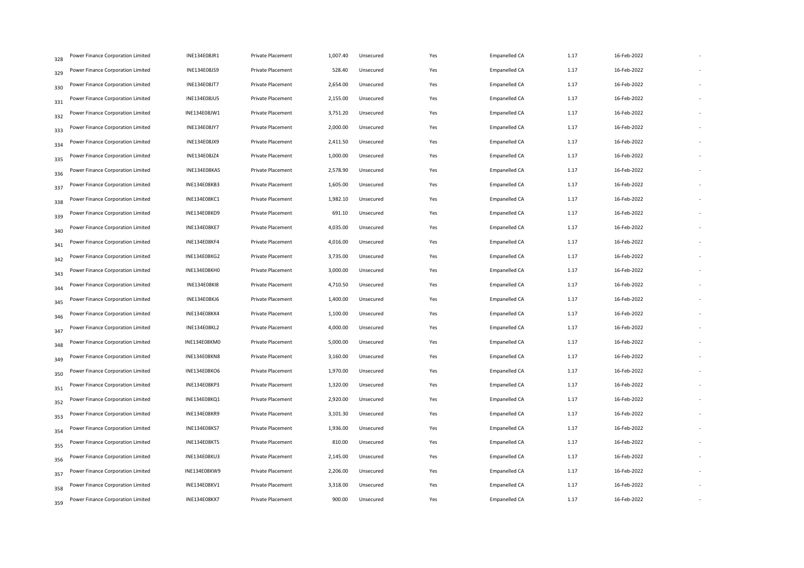| 328 | Power Finance Corporation Limited | INE134E08JR1        | Private Placement        | 1,007.40 | Unsecured | Yes | <b>Empanelled CA</b> | 1.17 | 16-Feb-2022 |  |
|-----|-----------------------------------|---------------------|--------------------------|----------|-----------|-----|----------------------|------|-------------|--|
| 329 | Power Finance Corporation Limited | INE134E08JS9        | Private Placement        | 528.40   | Unsecured | Yes | Empanelled CA        | 1.17 | 16-Feb-2022 |  |
| 330 | Power Finance Corporation Limited | <b>INE134E08JT7</b> | <b>Private Placement</b> | 2,654.00 | Unsecured | Yes | Empanelled CA        | 1.17 | 16-Feb-2022 |  |
| 331 | Power Finance Corporation Limited | INE134E08JU5        | Private Placement        | 2,155.00 | Unsecured | Yes | <b>Empanelled CA</b> | 1.17 | 16-Feb-2022 |  |
| 332 | Power Finance Corporation Limited | INE134E08JW1        | <b>Private Placement</b> | 3,751.20 | Unsecured | Yes | <b>Empanelled CA</b> | 1.17 | 16-Feb-2022 |  |
| 333 | Power Finance Corporation Limited | INE134E08JY7        | Private Placement        | 2,000.00 | Unsecured | Yes | Empanelled CA        | 1.17 | 16-Feb-2022 |  |
| 334 | Power Finance Corporation Limited | <b>INE134E08JX9</b> | Private Placement        | 2,411.50 | Unsecured | Yes | <b>Empanelled CA</b> | 1.17 | 16-Feb-2022 |  |
| 335 | Power Finance Corporation Limited | INE134E08JZ4        | Private Placement        | 1,000.00 | Unsecured | Yes | <b>Empanelled CA</b> | 1.17 | 16-Feb-2022 |  |
| 336 | Power Finance Corporation Limited | INE134E08KA5        | <b>Private Placement</b> | 2,578.90 | Unsecured | Yes | <b>Empanelled CA</b> | 1.17 | 16-Feb-2022 |  |
| 337 | Power Finance Corporation Limited | INE134E08KB3        | Private Placement        | 1,605.00 | Unsecured | Yes | <b>Empanelled CA</b> | 1.17 | 16-Feb-2022 |  |
| 338 | Power Finance Corporation Limited | INE134E08KC1        | Private Placement        | 1,982.10 | Unsecured | Yes | Empanelled CA        | 1.17 | 16-Feb-2022 |  |
| 339 | Power Finance Corporation Limited | INE134E08KD9        | <b>Private Placement</b> | 691.10   | Unsecured | Yes | Empanelled CA        | 1.17 | 16-Feb-2022 |  |
| 340 | Power Finance Corporation Limited | INE134E08KE7        | Private Placement        | 4,035.00 | Unsecured | Yes | <b>Empanelled CA</b> | 1.17 | 16-Feb-2022 |  |
| 341 | Power Finance Corporation Limited | <b>INE134E08KF4</b> | Private Placement        | 4,016.00 | Unsecured | Yes | <b>Empanelled CA</b> | 1.17 | 16-Feb-2022 |  |
| 342 | Power Finance Corporation Limited | INE134E08KG2        | Private Placement        | 3,735.00 | Unsecured | Yes | Empanelled CA        | 1.17 | 16-Feb-2022 |  |
| 343 | Power Finance Corporation Limited | INE134E08KH0        | Private Placement        | 3,000.00 | Unsecured | Yes | <b>Empanelled CA</b> | 1.17 | 16-Feb-2022 |  |
| 344 | Power Finance Corporation Limited | <b>INE134E08KI8</b> | Private Placement        | 4,710.50 | Unsecured | Yes | <b>Empanelled CA</b> | 1.17 | 16-Feb-2022 |  |
| 345 | Power Finance Corporation Limited | INE134E08KJ6        | Private Placement        | 1,400.00 | Unsecured | Yes | Empanelled CA        | 1.17 | 16-Feb-2022 |  |
| 346 | Power Finance Corporation Limited | <b>INE134E08KK4</b> | Private Placement        | 1,100.00 | Unsecured | Yes | <b>Empanelled CA</b> | 1.17 | 16-Feb-2022 |  |
| 347 | Power Finance Corporation Limited | <b>INE134E08KL2</b> | Private Placement        | 4,000.00 | Unsecured | Yes | <b>Empanelled CA</b> | 1.17 | 16-Feb-2022 |  |
| 348 | Power Finance Corporation Limited | INE134E08KM0        | Private Placement        | 5,000.00 | Unsecured | Yes | <b>Empanelled CA</b> | 1.17 | 16-Feb-2022 |  |
| 349 | Power Finance Corporation Limited | <b>INE134E08KN8</b> | Private Placement        | 3,160.00 | Unsecured | Yes | <b>Empanelled CA</b> | 1.17 | 16-Feb-2022 |  |
| 350 | Power Finance Corporation Limited | <b>INE134E08KO6</b> | Private Placement        | 1,970.00 | Unsecured | Yes | Empanelled CA        | 1.17 | 16-Feb-2022 |  |
| 351 | Power Finance Corporation Limited | INE134E08KP3        | Private Placement        | 1,320.00 | Unsecured | Yes | <b>Empanelled CA</b> | 1.17 | 16-Feb-2022 |  |
| 352 | Power Finance Corporation Limited | INE134E08KQ1        | Private Placement        | 2,920.00 | Unsecured | Yes | <b>Empanelled CA</b> | 1.17 | 16-Feb-2022 |  |
| 353 | Power Finance Corporation Limited | <b>INE134E08KR9</b> | Private Placement        | 3,101.30 | Unsecured | Yes | Empanelled CA        | 1.17 | 16-Feb-2022 |  |
| 354 | Power Finance Corporation Limited | INE134E08KS7        | Private Placement        | 1,936.00 | Unsecured | Yes | <b>Empanelled CA</b> | 1.17 | 16-Feb-2022 |  |
| 355 | Power Finance Corporation Limited | <b>INE134E08KT5</b> | Private Placement        | 810.00   | Unsecured | Yes | <b>Empanelled CA</b> | 1.17 | 16-Feb-2022 |  |
| 356 | Power Finance Corporation Limited | <b>INE134E08KU3</b> | Private Placement        | 2,145.00 | Unsecured | Yes | <b>Empanelled CA</b> | 1.17 | 16-Feb-2022 |  |
| 357 | Power Finance Corporation Limited | INE134E08KW9        | Private Placement        | 2,206.00 | Unsecured | Yes | Empanelled CA        | 1.17 | 16-Feb-2022 |  |
| 358 | Power Finance Corporation Limited | INE134E08KV1        | <b>Private Placement</b> | 3,318.00 | Unsecured | Yes | <b>Empanelled CA</b> | 1.17 | 16-Feb-2022 |  |
| 359 | Power Finance Corporation Limited | INE134E08KX7        | Private Placement        | 900.00   | Unsecured | Yes | <b>Empanelled CA</b> | 1.17 | 16-Feb-2022 |  |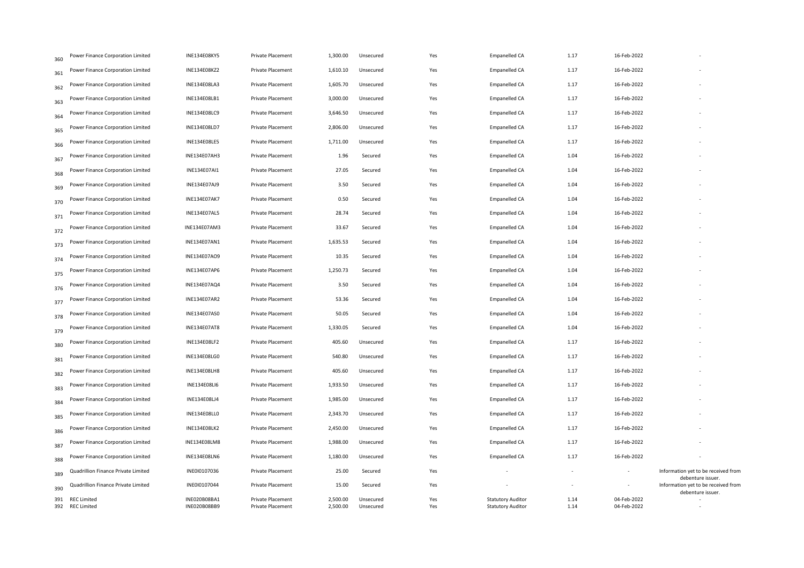| 360        | Power Finance Corporation Limited        | INE134E08KY5                 | Private Placement                      | 1,300.00             | Unsecured              | Yes        | Empanelled CA                                        | 1.17                     | 16-Feb-2022                |                                                          |
|------------|------------------------------------------|------------------------------|----------------------------------------|----------------------|------------------------|------------|------------------------------------------------------|--------------------------|----------------------------|----------------------------------------------------------|
| 361        | Power Finance Corporation Limited        | INE134E08KZ2                 | <b>Private Placement</b>               | 1,610.10             | Unsecured              | Yes        | Empanelled CA                                        | 1.17                     | 16-Feb-2022                |                                                          |
| 362        | Power Finance Corporation Limited        | INE134E08LA3                 | Private Placement                      | 1,605.70             | Unsecured              | Yes        | Empanelled CA                                        | 1.17                     | 16-Feb-2022                |                                                          |
| 363        | Power Finance Corporation Limited        | INE134E08LB1                 | Private Placement                      | 3,000.00             | Unsecured              | Yes        | Empanelled CA                                        | 1.17                     | 16-Feb-2022                |                                                          |
| 364        | Power Finance Corporation Limited        | INE134E08LC9                 | <b>Private Placement</b>               | 3,646.50             | Unsecured              | Yes        | Empanelled CA                                        | 1.17                     | 16-Feb-2022                |                                                          |
| 365        | Power Finance Corporation Limited        | INE134E08LD7                 | Private Placement                      | 2,806.00             | Unsecured              | Yes        | Empanelled CA                                        | 1.17                     | 16-Feb-2022                |                                                          |
| 366        | Power Finance Corporation Limited        | INE134E08LE5                 | Private Placement                      | 1,711.00             | Unsecured              | Yes        | Empanelled CA                                        | 1.17                     | 16-Feb-2022                |                                                          |
| 367        | Power Finance Corporation Limited        | INE134E07AH3                 | <b>Private Placement</b>               | 1.96                 | Secured                | Yes        | Empanelled CA                                        | 1.04                     | 16-Feb-2022                |                                                          |
| 368        | Power Finance Corporation Limited        | INE134E07AI1                 | Private Placement                      | 27.05                | Secured                | Yes        | Empanelled CA                                        | 1.04                     | 16-Feb-2022                |                                                          |
| 369        | Power Finance Corporation Limited        | INE134E07AJ9                 | Private Placement                      | 3.50                 | Secured                | Yes        | Empanelled CA                                        | 1.04                     | 16-Feb-2022                |                                                          |
| 370        | Power Finance Corporation Limited        | <b>INE134E07AK7</b>          | Private Placement                      | 0.50                 | Secured                | Yes        | Empanelled CA                                        | 1.04                     | 16-Feb-2022                |                                                          |
| 371        | Power Finance Corporation Limited        | INE134E07AL5                 | Private Placement                      | 28.74                | Secured                | Yes        | Empanelled CA                                        | 1.04                     | 16-Feb-2022                |                                                          |
| 372        | Power Finance Corporation Limited        | INE134E07AM3                 | <b>Private Placement</b>               | 33.67                | Secured                | Yes        | Empanelled CA                                        | 1.04                     | 16-Feb-2022                |                                                          |
| 373        | Power Finance Corporation Limited        | INE134E07AN1                 | <b>Private Placement</b>               | 1,635.53             | Secured                | Yes        | Empanelled CA                                        | 1.04                     | 16-Feb-2022                |                                                          |
| 374        | Power Finance Corporation Limited        | INE134E07AO9                 | Private Placement                      | 10.35                | Secured                | Yes        | Empanelled CA                                        | 1.04                     | 16-Feb-2022                |                                                          |
| 375        | Power Finance Corporation Limited        | INE134E07AP6                 | Private Placement                      | 1,250.73             | Secured                | Yes        | Empanelled CA                                        | 1.04                     | 16-Feb-2022                |                                                          |
| 376        | Power Finance Corporation Limited        | INE134E07AQ4                 | Private Placement                      | 3.50                 | Secured                | Yes        | Empanelled CA                                        | 1.04                     | 16-Feb-2022                |                                                          |
| 377        | Power Finance Corporation Limited        | INE134E07AR2                 | Private Placement                      | 53.36                | Secured                | Yes        | Empanelled CA                                        | 1.04                     | 16-Feb-2022                |                                                          |
| 378        | Power Finance Corporation Limited        | INE134E07AS0                 | Private Placement                      | 50.05                | Secured                | Yes        | Empanelled CA                                        | 1.04                     | 16-Feb-2022                |                                                          |
| 379        | Power Finance Corporation Limited        | <b>INE134E07AT8</b>          | Private Placement                      | 1,330.05             | Secured                | Yes        | Empanelled CA                                        | 1.04                     | 16-Feb-2022                |                                                          |
| 380        | Power Finance Corporation Limited        | INE134E08LF2                 | Private Placement                      | 405.60               | Unsecured              | Yes        | Empanelled CA                                        | 1.17                     | 16-Feb-2022                |                                                          |
| 381        | Power Finance Corporation Limited        | INE134E08LG0                 | Private Placement                      | 540.80               | Unsecured              | Yes        | Empanelled CA                                        | 1.17                     | 16-Feb-2022                |                                                          |
| 382        | Power Finance Corporation Limited        | <b>INE134E08LH8</b>          | Private Placement                      | 405.60               | Unsecured              | Yes        | Empanelled CA                                        | 1.17                     | 16-Feb-2022                |                                                          |
| 383        | Power Finance Corporation Limited        | <b>INE134E08LI6</b>          | Private Placement                      | 1,933.50             | Unsecured              | Yes        | Empanelled CA                                        | 1.17                     | 16-Feb-2022                |                                                          |
| 384        | Power Finance Corporation Limited        | <b>INE134E08LJ4</b>          | Private Placement                      | 1,985.00             | Unsecured              | Yes        | Empanelled CA                                        | 1.17                     | 16-Feb-2022                |                                                          |
| 385        | Power Finance Corporation Limited        | INE134E08LL0                 | Private Placement                      | 2,343.70             | Unsecured              | Yes        | Empanelled CA                                        | 1.17                     | 16-Feb-2022                |                                                          |
| 386        | Power Finance Corporation Limited        | INE134E08LK2                 | <b>Private Placement</b>               | 2,450.00             | Unsecured              | Yes        | Empanelled CA                                        | 1.17                     | 16-Feb-2022                |                                                          |
| 387        | Power Finance Corporation Limited        | INE134E08LM8                 | Private Placement                      | 1,988.00             | Unsecured              | Yes        | Empanelled CA                                        | 1.17                     | 16-Feb-2022                |                                                          |
| 388        | Power Finance Corporation Limited        | INE134E08LN6                 | Private Placement                      | 1,180.00             | Unsecured              | Yes        | Empanelled CA                                        | 1.17                     | 16-Feb-2022                |                                                          |
| 389        | Quadrillion Finance Private Limited      | INE0I0107036                 | Private Placement                      | 25.00                | Secured                | Yes        |                                                      |                          | $\overline{\phantom{a}}$   | Information yet to be received from<br>debenture issuer. |
| 390        | Quadrillion Finance Private Limited      | INE0I0107044                 | Private Placement                      | 15.00                | Secured                | Yes        |                                                      | $\overline{\phantom{a}}$ |                            | Information yet to be received from<br>debenture issuer. |
| 391<br>392 | <b>REC Limited</b><br><b>REC Limited</b> | INE020B08BA1<br>INE020B08BB9 | Private Placement<br>Private Placement | 2,500.00<br>2,500.00 | Unsecured<br>Unsecured | Yes<br>Yes | <b>Statutory Auditor</b><br><b>Statutory Auditor</b> | 1.14<br>1.14             | 04-Feb-2022<br>04-Feb-2022 |                                                          |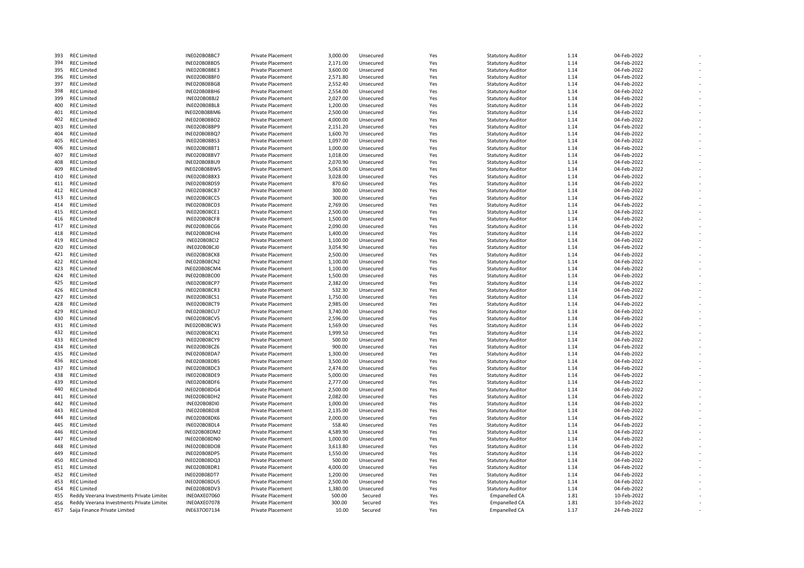| 393 | <b>REC Limited</b>                        | INE020B08BC7        | <b>Private Placement</b> | 3,000.00 | Unsecured | Yes | <b>Statutory Auditor</b> | 1.14 | 04-Feb-2022 |
|-----|-------------------------------------------|---------------------|--------------------------|----------|-----------|-----|--------------------------|------|-------------|
| 394 | <b>REC Limited</b>                        | INE020B08BD5        | Private Placement        | 2,171.00 | Unsecured | Yes | <b>Statutory Auditor</b> | 1.14 | 04-Feb-2022 |
| 395 | <b>REC Limited</b>                        | INE020B08BE3        | <b>Private Placement</b> | 3,600.00 | Unsecured | Yes | <b>Statutory Auditor</b> | 1.14 | 04-Feb-2022 |
| 396 | <b>REC Limited</b>                        | INE020B08BF0        | <b>Private Placement</b> | 2,571.80 | Unsecured | Yes | <b>Statutory Auditor</b> | 1.14 | 04-Feb-2022 |
| 397 | <b>REC Limited</b>                        | INE020B08BG8        | <b>Private Placement</b> | 2,552.40 | Unsecured | Yes | <b>Statutory Auditor</b> | 1.14 | 04-Feb-2022 |
| 398 | <b>REC Limited</b>                        | INE020B08BH6        | <b>Private Placement</b> | 2,554.00 | Unsecured | Yes | <b>Statutory Auditor</b> | 1.14 | 04-Feb-2022 |
| 399 | <b>REC Limited</b>                        | INE020B08BJ2        | <b>Private Placement</b> | 2,027.00 | Unsecured | Yes | <b>Statutory Auditor</b> | 1.14 | 04-Feb-2022 |
| 400 | <b>REC Limited</b>                        | INE020B08BL8        | Private Placement        | 1,200.00 | Unsecured | Yes | <b>Statutory Auditor</b> | 1.14 | 04-Feb-2022 |
| 401 | <b>REC Limited</b>                        | INE020B08BM6        | Private Placement        | 2,500.00 | Unsecured | Yes | <b>Statutory Auditor</b> | 1.14 | 04-Feb-2022 |
| 402 | <b>REC Limited</b>                        | INE020B08BO2        | <b>Private Placement</b> | 4,000.00 | Unsecured | Yes | <b>Statutory Auditor</b> | 1.14 | 04-Feb-2022 |
| 403 | <b>REC Limited</b>                        | INE020B08BP9        | <b>Private Placement</b> | 2,151.20 | Unsecured | Yes | <b>Statutory Auditor</b> | 1.14 | 04-Feb-2022 |
| 404 | <b>REC Limited</b>                        | INE020B08BQ7        | Private Placement        | 1,600.70 | Unsecured | Yes | <b>Statutory Auditor</b> | 1.14 | 04-Feb-2022 |
| 405 | <b>REC Limited</b>                        | INE020B08BS3        | <b>Private Placement</b> | 1,097.00 | Unsecured | Yes | <b>Statutory Auditor</b> | 1.14 | 04-Feb-2022 |
| 406 | <b>REC Limited</b>                        | INE020B08BT1        | Private Placement        | 1,000.00 | Unsecured | Yes | <b>Statutory Auditor</b> | 1.14 | 04-Feb-2022 |
| 407 | <b>REC Limited</b>                        | INE020B08BV7        | <b>Private Placement</b> | 1,018.00 | Unsecured | Yes | <b>Statutory Auditor</b> | 1.14 | 04-Feb-2022 |
|     |                                           |                     |                          |          |           |     |                          |      |             |
| 408 | <b>REC Limited</b>                        | INE020B08BU9        | <b>Private Placement</b> | 2,070.90 | Unsecured | Yes | <b>Statutory Auditor</b> | 1.14 | 04-Feb-2022 |
| 409 | <b>REC Limited</b>                        | INE020B08BW5        | Private Placement        | 5,063.00 | Unsecured | Yes | <b>Statutory Auditor</b> | 1.14 | 04-Feb-2022 |
| 410 | <b>REC Limited</b>                        | INE020B08BX3        | Private Placement        | 3,028.00 | Unsecured | Yes | <b>Statutory Auditor</b> | 1.14 | 04-Feb-2022 |
| 411 | <b>REC Limited</b>                        | INE020B08DS9        | Private Placement        | 870.60   | Unsecured | Yes | <b>Statutory Auditor</b> | 1.14 | 04-Feb-2022 |
| 412 | <b>REC Limited</b>                        | <b>INE020B08CB7</b> | Private Placement        | 300.00   | Unsecured | Yes | <b>Statutory Auditor</b> | 1.14 | 04-Feb-2022 |
| 413 | <b>REC Limited</b>                        | INE020B08CC5        | Private Placement        | 300.00   | Unsecured | Yes | <b>Statutory Auditor</b> | 1.14 | 04-Feb-2022 |
| 414 | <b>REC Limited</b>                        | INE020B08CD3        | Private Placement        | 2,769.00 | Unsecured | Yes | <b>Statutory Auditor</b> | 1.14 | 04-Feb-2022 |
| 415 | <b>REC Limited</b>                        | INE020B08CE1        | Private Placement        | 2,500.00 | Unsecured | Yes | <b>Statutory Auditor</b> | 1.14 | 04-Feb-2022 |
| 416 | <b>REC Limited</b>                        | <b>INE020B08CF8</b> | <b>Private Placement</b> | 1,500.00 | Unsecured | Yes | <b>Statutory Auditor</b> | 1.14 | 04-Feb-2022 |
| 417 | <b>REC Limited</b>                        | <b>INE020B08CG6</b> | <b>Private Placement</b> | 2,090.00 | Unsecured | Yes | <b>Statutory Auditor</b> | 1.14 | 04-Feb-2022 |
| 418 | <b>REC Limited</b>                        | INE020B08CH4        | <b>Private Placement</b> | 1,400.00 | Unsecured | Yes | <b>Statutory Auditor</b> | 1.14 | 04-Feb-2022 |
| 419 | <b>REC Limited</b>                        | <b>INE020B08Cl2</b> | Private Placement        | 1,100.00 | Unsecured | Yes | <b>Statutory Auditor</b> | 1.14 | 04-Feb-2022 |
| 420 | <b>REC Limited</b>                        | INE020B08CJ0        | Private Placement        | 3,054.90 | Unsecured | Yes | <b>Statutory Auditor</b> | 1.14 | 04-Feb-2022 |
| 421 | <b>REC Limited</b>                        | <b>INE020B08CK8</b> | Private Placement        | 2,500.00 | Unsecured | Yes | <b>Statutory Auditor</b> | 1.14 | 04-Feb-2022 |
| 422 | <b>REC Limited</b>                        | INE020B08CN2        | <b>Private Placement</b> | 1,100.00 | Unsecured | Yes | <b>Statutory Auditor</b> | 1.14 | 04-Feb-2022 |
| 423 | <b>REC Limited</b>                        | INE020B08CM4        | <b>Private Placement</b> | 1,100.00 | Unsecured | Yes | <b>Statutory Auditor</b> | 1.14 | 04-Feb-2022 |
| 424 | <b>REC Limited</b>                        | INE020B08CO0        | Private Placement        | 1,500.00 | Unsecured | Yes | <b>Statutory Auditor</b> | 1.14 | 04-Feb-2022 |
| 425 | <b>REC Limited</b>                        | INE020B08CP7        | <b>Private Placement</b> | 2,382.00 | Unsecured | Yes | <b>Statutory Auditor</b> | 1.14 | 04-Feb-2022 |
| 426 | <b>REC Limited</b>                        | INE020B08CR3        | <b>Private Placement</b> | 532.30   | Unsecured | Yes | <b>Statutory Auditor</b> | 1.14 | 04-Feb-2022 |
| 427 | <b>REC Limited</b>                        | INE020B08CS1        | <b>Private Placement</b> | 1,750.00 | Unsecured | Yes | <b>Statutory Auditor</b> | 1.14 | 04-Feb-2022 |
| 428 | <b>REC Limited</b>                        | <b>INE020B08CT9</b> | <b>Private Placement</b> | 2,985.00 | Unsecured | Yes | <b>Statutory Auditor</b> | 1.14 | 04-Feb-2022 |
| 429 | <b>REC Limited</b>                        | INE020B08CU7        | Private Placement        | 3,740.00 | Unsecured | Yes | <b>Statutory Auditor</b> | 1.14 | 04-Feb-2022 |
| 430 | <b>REC Limited</b>                        | <b>INE020B08CV5</b> | Private Placement        | 2,596.00 | Unsecured | Yes | <b>Statutory Auditor</b> | 1.14 | 04-Feb-2022 |
|     |                                           |                     |                          |          |           |     |                          |      |             |
| 431 | <b>REC Limited</b>                        | INE020B08CW3        | Private Placement        | 1,569.00 | Unsecured | Yes | <b>Statutory Auditor</b> | 1.14 | 04-Feb-2022 |
| 432 | <b>REC Limited</b>                        | INE020B08CX1        | Private Placement        | 1,999.50 | Unsecured | Yes | <b>Statutory Auditor</b> | 1.14 | 04-Feb-2022 |
| 433 | <b>REC Limited</b>                        | <b>INE020B08CY9</b> | Private Placement        | 500.00   | Unsecured | Yes | <b>Statutory Auditor</b> | 1.14 | 04-Feb-2022 |
| 434 | <b>REC Limited</b>                        | INE020B08CZ6        | Private Placement        | 900.00   | Unsecured | Yes | <b>Statutory Auditor</b> | 1.14 | 04-Feb-2022 |
| 435 | <b>REC Limited</b>                        | INE020B08DA7        | Private Placement        | 1,300.00 | Unsecured | Yes | <b>Statutory Auditor</b> | 1.14 | 04-Feb-2022 |
| 436 | <b>REC Limited</b>                        | INE020B08DB5        | Private Placement        | 3,500.00 | Unsecured | Yes | <b>Statutory Auditor</b> | 1.14 | 04-Feb-2022 |
| 437 | <b>REC Limited</b>                        | INE020B08DC3        | <b>Private Placement</b> | 2,474.00 | Unsecured | Yes | <b>Statutory Auditor</b> | 1.14 | 04-Feb-2022 |
| 438 | <b>REC Limited</b>                        | INE020B08DE9        | <b>Private Placement</b> | 5,000.00 | Unsecured | Yes | <b>Statutory Auditor</b> | 1.14 | 04-Feb-2022 |
| 439 | <b>REC Limited</b>                        | INE020B08DF6        | Private Placement        | 2,777.00 | Unsecured | Yes | <b>Statutory Auditor</b> | 1.14 | 04-Feb-2022 |
| 440 | <b>REC Limited</b>                        | INE020B08DG4        | Private Placement        | 2,500.00 | Unsecured | Yes | <b>Statutory Auditor</b> | 1.14 | 04-Feb-2022 |
| 441 | <b>REC Limited</b>                        | INE020B08DH2        | <b>Private Placement</b> | 2,082.00 | Unsecured | Yes | <b>Statutory Auditor</b> | 1.14 | 04-Feb-2022 |
| 442 | <b>REC Limited</b>                        | <b>INE020B08DI0</b> | <b>Private Placement</b> | 1,000.00 | Unsecured | Yes | <b>Statutory Auditor</b> | 1.14 | 04-Feb-2022 |
| 443 | <b>REC Limited</b>                        | INE020B08DJ8        | <b>Private Placement</b> | 2,135.00 | Unsecured | Yes | <b>Statutory Auditor</b> | 1.14 | 04-Feb-2022 |
| 444 | <b>REC Limited</b>                        | INE020B08DK6        | Private Placement        | 2,000.00 | Unsecured | Yes | <b>Statutory Auditor</b> | 1.14 | 04-Feb-2022 |
| 445 | <b>REC Limited</b>                        | INE020B08DL4        | <b>Private Placement</b> | 558.40   | Unsecured | Yes | <b>Statutory Auditor</b> | 1.14 | 04-Feb-2022 |
| 446 | <b>REC Limited</b>                        | INE020B08DM2        | Private Placement        | 4,589.90 | Unsecured | Yes | <b>Statutory Auditor</b> | 1.14 | 04-Feb-2022 |
| 447 | <b>REC Limited</b>                        | INE020B08DN0        | Private Placement        | 1,000.00 | Unsecured | Yes | <b>Statutory Auditor</b> | 1.14 | 04-Feb-2022 |
| 448 | <b>REC Limited</b>                        | INE020B08DO8        | <b>Private Placement</b> | 3,613.80 | Unsecured | Yes | <b>Statutory Auditor</b> | 1.14 | 04-Feb-2022 |
| 449 | <b>REC Limited</b>                        | INE020B08DP5        | Private Placement        | 1,550.00 | Unsecured | Yes | <b>Statutory Auditor</b> | 1.14 | 04-Feb-2022 |
| 450 | <b>REC Limited</b>                        | INE020B08DQ3        | <b>Private Placement</b> | 500.00   | Unsecured | Yes | <b>Statutory Auditor</b> | 1.14 | 04-Feb-2022 |
|     |                                           |                     |                          |          |           |     |                          |      |             |
| 451 | <b>REC Limited</b>                        | INE020B08DR1        | <b>Private Placement</b> | 4,000.00 | Unsecured | Yes | <b>Statutory Auditor</b> | 1.14 | 04-Feb-2022 |
| 452 | <b>REC Limited</b>                        | INE020B08DT7        | Private Placement        | 1,200.00 | Unsecured | Yes | <b>Statutory Auditor</b> | 1.14 | 04-Feb-2022 |
| 453 | <b>REC Limited</b>                        | INE020B08DU5        | Private Placement        | 2,500.00 | Unsecured | Yes | <b>Statutory Auditor</b> | 1.14 | 04-Feb-2022 |
| 454 | <b>REC Limited</b>                        | INE020B08DV3        | Private Placement        | 1,380.00 | Unsecured | Yes | <b>Statutory Auditor</b> | 1.14 | 04-Feb-2022 |
| 455 | Reddy Veerana Investments Private Limiter | INEOAXE07060        | <b>Private Placement</b> | 500.00   | Secured   | Yes | <b>Empanelled CA</b>     | 1.81 | 10-Feb-2022 |
| 456 | Reddy Veerana Investments Private Limiter | INEOAXE07078        | Private Placement        | 300.00   | Secured   | Yes | <b>Empanelled CA</b>     | 1.81 | 10-Feb-2022 |
| 457 | Saija Finance Private Limited             | INE637007134        | <b>Private Placement</b> | 10.00    | Secured   | Yes | <b>Empanelled CA</b>     | 1.17 | 24-Feb-2022 |